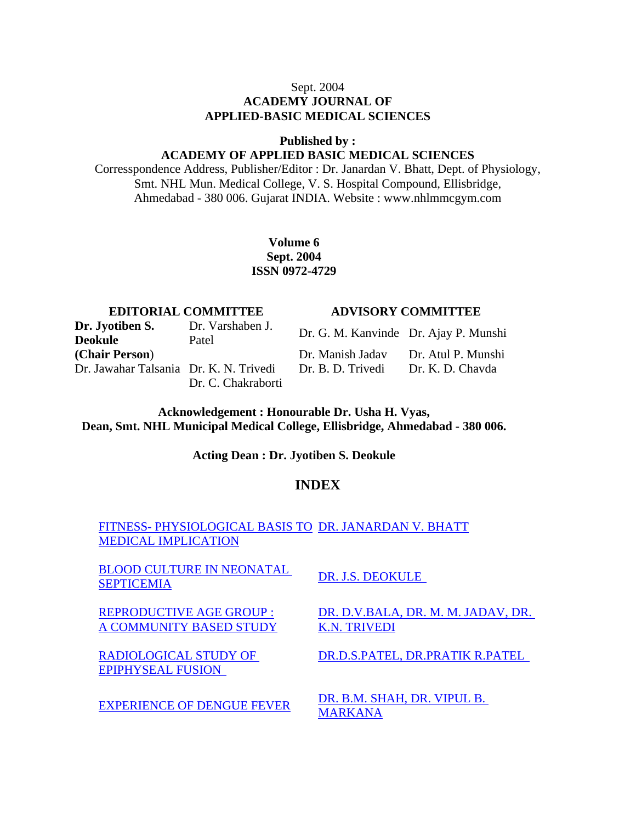### Sept. 2004

### **ACADEMY JOURNAL OF APPLIED-BASIC MEDICAL SCIENCES**

**Published by :**

#### **ACADEMY OF APPLIED BASIC MEDICAL SCIENCES**

Corresspondence Address, Publisher/Editor : Dr. Janardan V. Bhatt, Dept. of Physiology, Smt. NHL Mun. Medical College, V. S. Hospital Compound, Ellisbridge, Ahmedabad - 380 006. Gujarat INDIA. Website : www.nhlmmcgym.com

#### **Volume 6 Sept. 2004 ISSN 0972-4729**

#### **EDITORIAL COMMITTEE ADVISORY COMMITTEE**

**Dr. Jyotiben S. Deokule** Dr. Varshaben J. Dr. Jawahar Talsania Dr. K. N. Trivedi Dr. B. D. Trivedi Dr. K. D. Chavda Dr. C. Chakraborti

Dr. Varsnauen J.<br>Patel Dr. G. M. Kanvinde Dr. Ajay P. Munshi **(Chair Person**) Dr. Manish Jadav Dr. Atul P. Munshi

**Acknowledgement : Honourable Dr. Usha H. Vyas, Dean, Smt. NHL Municipal Medical College, Ellisbridge, Ahmedabad - 380 006.**

**Acting Dean : Dr. Jyotiben S. Deokule**

#### **INDEX**

FITNESS- PHYSIOLOGICAL BASIS TO DR. JANARDAN V. BHATT MEDICAL IMPLICATION

BLOOD CULTURE IN NEONATAL **SEPTICEMIA** DR. J.S. DEOKULE

REPRODUCTIVE AGE GROUP : A COMMUNITY BASED STUDY

RADIOLOGICAL STUDY OF EPIPHYSEAL FUSION

DR. D.V.BALA, DR. M. M. JADAV, DR. K.N. TRIVEDI

DR.D.S.PATEL, DR.PRATIK R.PATEL

EXPERIENCE OF DENGUE FEVER DR. B.M. SHAH, DR. VIPUL B. **MARKANA**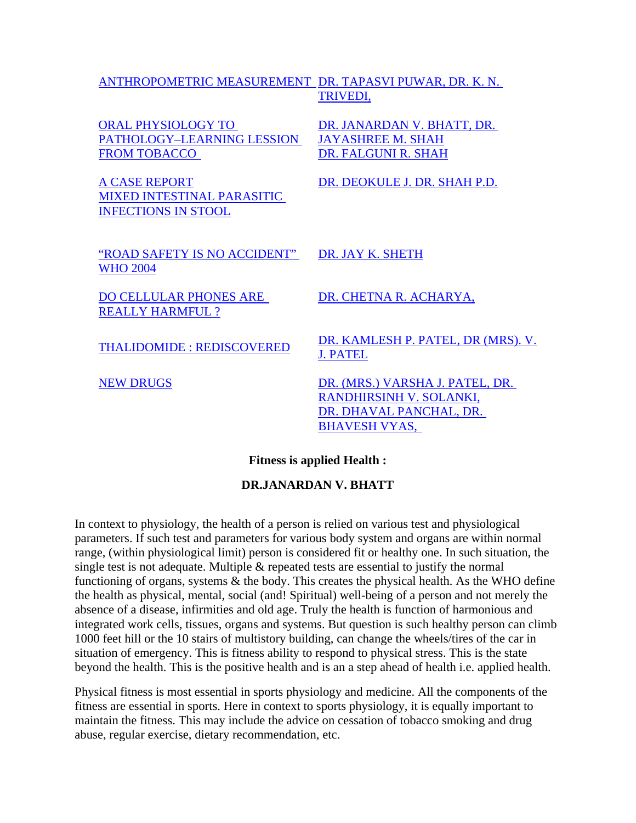### ANTHROPOMETRIC MEASUREMENT DR. TAPASVI PUWAR, DR. K. N. TRIVEDI,

| <b>ORAL PHYSIOLOGY TO</b><br>PATHOLOGY-LEARNING LESSION<br><b>FROM TOBACCO</b>          | DR. JANARDAN V. BHATT, DR.<br><b>JAYASHREE M. SHAH</b><br>DR. FALGUNI R. SHAH                                 |
|-----------------------------------------------------------------------------------------|---------------------------------------------------------------------------------------------------------------|
| <b>A CASE REPORT</b><br><b>MIXED INTESTINAL PARASITIC</b><br><b>INFECTIONS IN STOOL</b> | DR. DEOKULE J. DR. SHAH P.D.                                                                                  |
| "ROAD SAFETY IS NO ACCIDENT"<br><b>WHO 2004</b>                                         | DR. JAY K. SHETH                                                                                              |
| <b>DO CELLULAR PHONES ARE</b><br><b>REALLY HARMFUL ?</b>                                | DR. CHETNA R. ACHARYA,                                                                                        |
| <b>THALIDOMIDE: REDISCOVERED</b>                                                        | DR. KAMLESH P. PATEL, DR (MRS). V.<br><b>J. PATEL</b>                                                         |
| <b>NEW DRUGS</b>                                                                        | DR. (MRS.) VARSHA J. PATEL, DR.<br>RANDHIRSINH V. SOLANKI,<br>DR. DHAVAL PANCHAL, DR.<br><b>BHAVESH VYAS,</b> |

#### **Fitness is applied Health :**

#### **DR.JANARDAN V. BHATT**

In context to physiology, the health of a person is relied on various test and physiological parameters. If such test and parameters for various body system and organs are within normal range, (within physiological limit) person is considered fit or healthy one. In such situation, the single test is not adequate. Multiple & repeated tests are essential to justify the normal functioning of organs, systems & the body. This creates the physical health. As the WHO define the health as physical, mental, social (and! Spiritual) well-being of a person and not merely the absence of a disease, infirmities and old age. Truly the health is function of harmonious and integrated work cells, tissues, organs and systems. But question is such healthy person can climb 1000 feet hill or the 10 stairs of multistory building, can change the wheels/tires of the car in situation of emergency. This is fitness ability to respond to physical stress. This is the state beyond the health. This is the positive health and is an a step ahead of health i.e. applied health.

Physical fitness is most essential in sports physiology and medicine. All the components of the fitness are essential in sports. Here in context to sports physiology, it is equally important to maintain the fitness. This may include the advice on cessation of tobacco smoking and drug abuse, regular exercise, dietary recommendation, etc.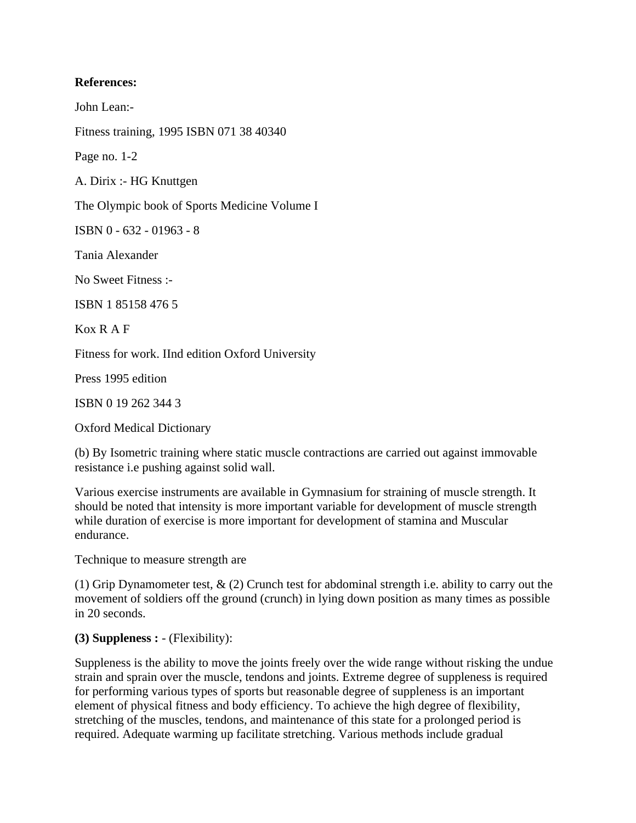#### **References:**

John Lean:-

Fitness training, 1995 ISBN 071 38 40340

Page no. 1-2

A. Dirix :- HG Knuttgen

The Olympic book of Sports Medicine Volume I

ISBN 0 - 632 - 01963 - 8

Tania Alexander

No Sweet Fitness :-

ISBN 1 85158 476 5

Kox R A F

Fitness for work. IInd edition Oxford University

Press 1995 edition

ISBN 0 19 262 344 3

Oxford Medical Dictionary

(b) By Isometric training where static muscle contractions are carried out against immovable resistance i.e pushing against solid wall.

Various exercise instruments are available in Gymnasium for straining of muscle strength. It should be noted that intensity is more important variable for development of muscle strength while duration of exercise is more important for development of stamina and Muscular endurance.

Technique to measure strength are

(1) Grip Dynamometer test, & (2) Crunch test for abdominal strength i.e. ability to carry out the movement of soldiers off the ground (crunch) in lying down position as many times as possible in 20 seconds.

### **(3) Suppleness :** - (Flexibility):

Suppleness is the ability to move the joints freely over the wide range without risking the undue strain and sprain over the muscle, tendons and joints. Extreme degree of suppleness is required for performing various types of sports but reasonable degree of suppleness is an important element of physical fitness and body efficiency. To achieve the high degree of flexibility, stretching of the muscles, tendons, and maintenance of this state for a prolonged period is required. Adequate warming up facilitate stretching. Various methods include gradual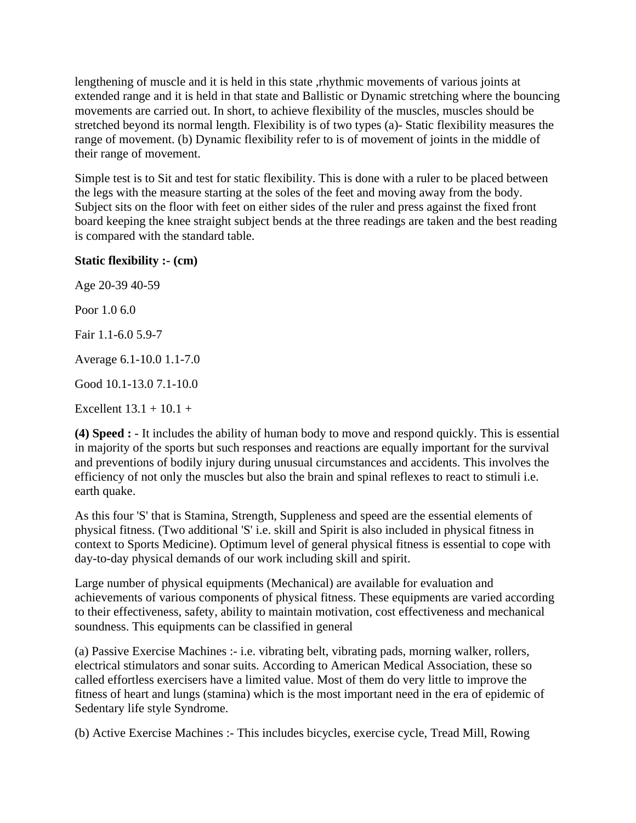lengthening of muscle and it is held in this state ,rhythmic movements of various joints at extended range and it is held in that state and Ballistic or Dynamic stretching where the bouncing movements are carried out. In short, to achieve flexibility of the muscles, muscles should be stretched beyond its normal length. Flexibility is of two types (a)- Static flexibility measures the range of movement. (b) Dynamic flexibility refer to is of movement of joints in the middle of their range of movement.

Simple test is to Sit and test for static flexibility. This is done with a ruler to be placed between the legs with the measure starting at the soles of the feet and moving away from the body. Subject sits on the floor with feet on either sides of the ruler and press against the fixed front board keeping the knee straight subject bends at the three readings are taken and the best reading is compared with the standard table.

#### **Static flexibility :- (cm)**

Age 20-39 40-59 Poor 1.0 6.0 Fair 1.1-6.0 5.9-7 Average 6.1-10.0 1.1-7.0 Good 10.1-13.0 7.1-10.0 Excellent  $13.1 + 10.1 +$ 

**(4) Speed :** - It includes the ability of human body to move and respond quickly. This is essential in majority of the sports but such responses and reactions are equally important for the survival and preventions of bodily injury during unusual circumstances and accidents. This involves the efficiency of not only the muscles but also the brain and spinal reflexes to react to stimuli i.e. earth quake.

As this four 'S' that is Stamina, Strength, Suppleness and speed are the essential elements of physical fitness. (Two additional 'S' i.e. skill and Spirit is also included in physical fitness in context to Sports Medicine). Optimum level of general physical fitness is essential to cope with day-to-day physical demands of our work including skill and spirit.

Large number of physical equipments (Mechanical) are available for evaluation and achievements of various components of physical fitness. These equipments are varied according to their effectiveness, safety, ability to maintain motivation, cost effectiveness and mechanical soundness. This equipments can be classified in general

(a) Passive Exercise Machines :- i.e. vibrating belt, vibrating pads, morning walker, rollers, electrical stimulators and sonar suits. According to American Medical Association, these so called effortless exercisers have a limited value. Most of them do very little to improve the fitness of heart and lungs (stamina) which is the most important need in the era of epidemic of Sedentary life style Syndrome.

(b) Active Exercise Machines :- This includes bicycles, exercise cycle, Tread Mill, Rowing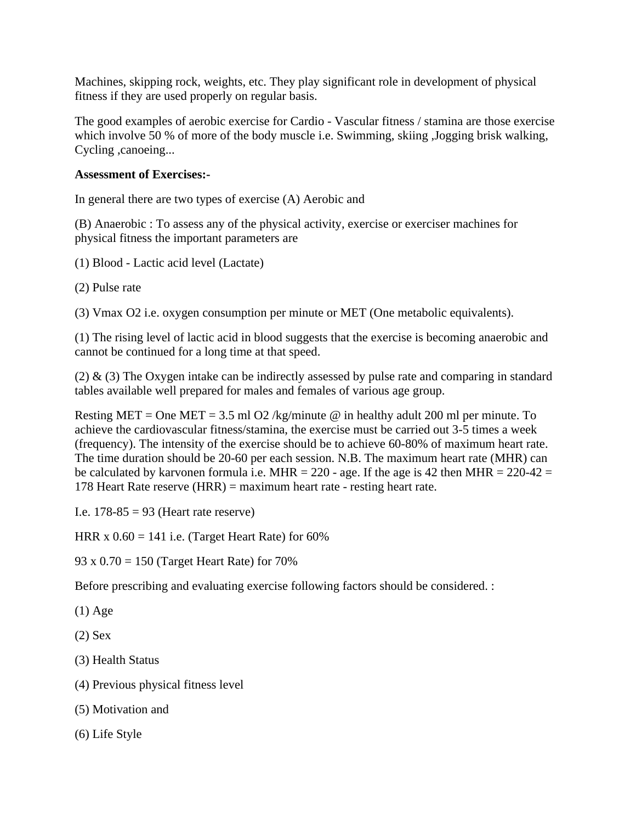Machines, skipping rock, weights, etc. They play significant role in development of physical fitness if they are used properly on regular basis.

The good examples of aerobic exercise for Cardio - Vascular fitness / stamina are those exercise which involve 50 % of more of the body muscle i.e. Swimming, skiing ,Jogging brisk walking, Cycling ,canoeing...

### **Assessment of Exercises:-**

In general there are two types of exercise (A) Aerobic and

(B) Anaerobic : To assess any of the physical activity, exercise or exerciser machines for physical fitness the important parameters are

(1) Blood - Lactic acid level (Lactate)

(2) Pulse rate

(3) Vmax O2 i.e. oxygen consumption per minute or MET (One metabolic equivalents).

(1) The rising level of lactic acid in blood suggests that the exercise is becoming anaerobic and cannot be continued for a long time at that speed.

(2) & (3) The Oxygen intake can be indirectly assessed by pulse rate and comparing in standard tables available well prepared for males and females of various age group.

Resting MET = One MET = 3.5 ml O2 /kg/minute  $\omega$  in healthy adult 200 ml per minute. To achieve the cardiovascular fitness/stamina, the exercise must be carried out 3-5 times a week (frequency). The intensity of the exercise should be to achieve 60-80% of maximum heart rate. The time duration should be 20-60 per each session. N.B. The maximum heart rate (MHR) can be calculated by karvonen formula i.e. MHR = 220 - age. If the age is 42 then MHR = 220-42 = 178 Heart Rate reserve (HRR) = maximum heart rate - resting heart rate.

I.e.  $178-85 = 93$  (Heart rate reserve)

HRR  $x \, 0.60 = 141$  i.e. (Target Heart Rate) for 60%

93 x  $0.70 = 150$  (Target Heart Rate) for 70%

Before prescribing and evaluating exercise following factors should be considered. :

(1) Age

(2) Sex

(3) Health Status

- (4) Previous physical fitness level
- (5) Motivation and
- (6) Life Style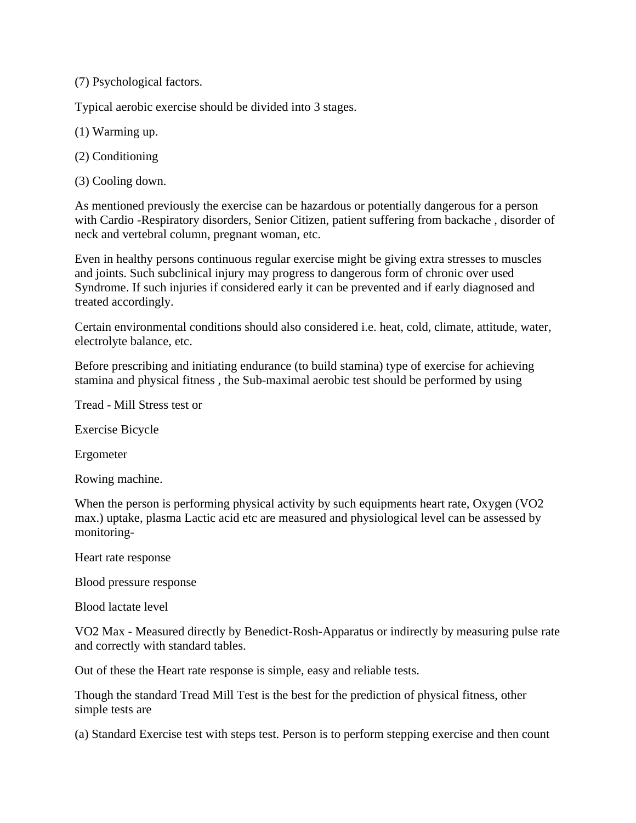(7) Psychological factors.

Typical aerobic exercise should be divided into 3 stages.

- (1) Warming up.
- (2) Conditioning
- (3) Cooling down.

As mentioned previously the exercise can be hazardous or potentially dangerous for a person with Cardio -Respiratory disorders, Senior Citizen, patient suffering from backache , disorder of neck and vertebral column, pregnant woman, etc.

Even in healthy persons continuous regular exercise might be giving extra stresses to muscles and joints. Such subclinical injury may progress to dangerous form of chronic over used Syndrome. If such injuries if considered early it can be prevented and if early diagnosed and treated accordingly.

Certain environmental conditions should also considered i.e. heat, cold, climate, attitude, water, electrolyte balance, etc.

Before prescribing and initiating endurance (to build stamina) type of exercise for achieving stamina and physical fitness , the Sub-maximal aerobic test should be performed by using

Tread - Mill Stress test or

Exercise Bicycle

Ergometer

Rowing machine.

When the person is performing physical activity by such equipments heart rate, Oxygen (VO2) max.) uptake, plasma Lactic acid etc are measured and physiological level can be assessed by monitoring-

Heart rate response

Blood pressure response

Blood lactate level

VO2 Max - Measured directly by Benedict-Rosh-Apparatus or indirectly by measuring pulse rate and correctly with standard tables.

Out of these the Heart rate response is simple, easy and reliable tests.

Though the standard Tread Mill Test is the best for the prediction of physical fitness, other simple tests are

(a) Standard Exercise test with steps test. Person is to perform stepping exercise and then count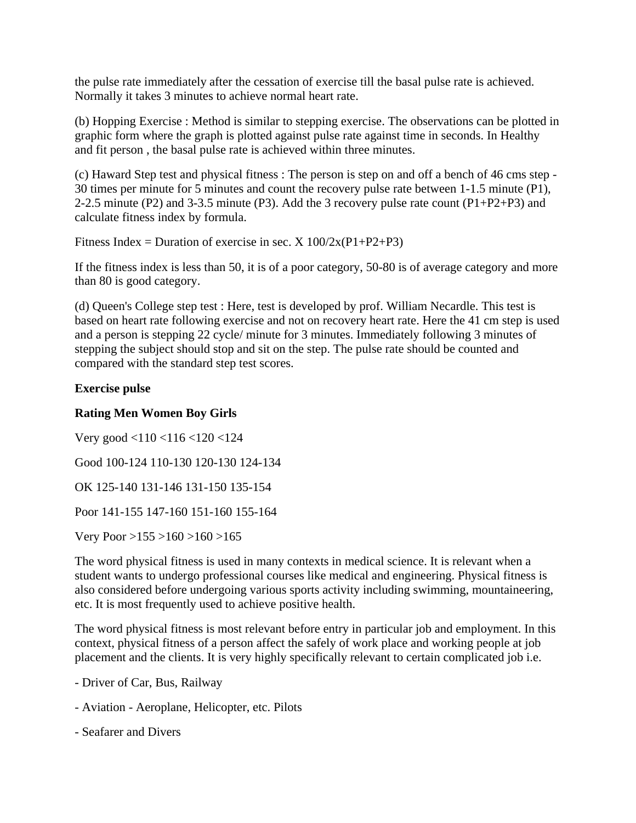the pulse rate immediately after the cessation of exercise till the basal pulse rate is achieved. Normally it takes 3 minutes to achieve normal heart rate.

(b) Hopping Exercise : Method is similar to stepping exercise. The observations can be plotted in graphic form where the graph is plotted against pulse rate against time in seconds. In Healthy and fit person , the basal pulse rate is achieved within three minutes.

(c) Haward Step test and physical fitness : The person is step on and off a bench of 46 cms step - 30 times per minute for 5 minutes and count the recovery pulse rate between 1-1.5 minute (P1), 2-2.5 minute (P2) and 3-3.5 minute (P3). Add the 3 recovery pulse rate count (P1+P2+P3) and calculate fitness index by formula.

Fitness Index = Duration of exercise in sec.  $X 100/2x(P1+P2+P3)$ 

If the fitness index is less than 50, it is of a poor category, 50-80 is of average category and more than 80 is good category.

(d) Queen's College step test : Here, test is developed by prof. William Necardle. This test is based on heart rate following exercise and not on recovery heart rate. Here the 41 cm step is used and a person is stepping 22 cycle/ minute for 3 minutes. Immediately following 3 minutes of stepping the subject should stop and sit on the step. The pulse rate should be counted and compared with the standard step test scores.

### **Exercise pulse**

## **Rating Men Women Boy Girls**

Very good <110 <116 <120 <124 Good 100-124 110-130 120-130 124-134 OK 125-140 131-146 131-150 135-154 Poor 141-155 147-160 151-160 155-164

Very Poor >155 >160 >160 >165

The word physical fitness is used in many contexts in medical science. It is relevant when a student wants to undergo professional courses like medical and engineering. Physical fitness is also considered before undergoing various sports activity including swimming, mountaineering, etc. It is most frequently used to achieve positive health.

The word physical fitness is most relevant before entry in particular job and employment. In this context, physical fitness of a person affect the safely of work place and working people at job placement and the clients. It is very highly specifically relevant to certain complicated job i.e.

- Driver of Car, Bus, Railway
- Aviation Aeroplane, Helicopter, etc. Pilots
- Seafarer and Divers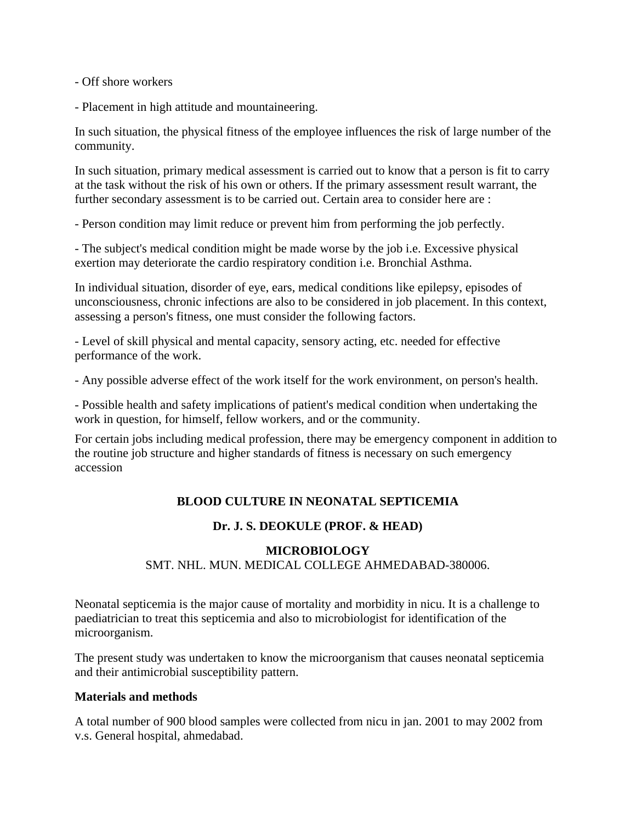- Off shore workers

- Placement in high attitude and mountaineering.

In such situation, the physical fitness of the employee influences the risk of large number of the community.

In such situation, primary medical assessment is carried out to know that a person is fit to carry at the task without the risk of his own or others. If the primary assessment result warrant, the further secondary assessment is to be carried out. Certain area to consider here are :

- Person condition may limit reduce or prevent him from performing the job perfectly.

- The subject's medical condition might be made worse by the job i.e. Excessive physical exertion may deteriorate the cardio respiratory condition i.e. Bronchial Asthma.

In individual situation, disorder of eye, ears, medical conditions like epilepsy, episodes of unconsciousness, chronic infections are also to be considered in job placement. In this context, assessing a person's fitness, one must consider the following factors.

- Level of skill physical and mental capacity, sensory acting, etc. needed for effective performance of the work.

- Any possible adverse effect of the work itself for the work environment, on person's health.

- Possible health and safety implications of patient's medical condition when undertaking the work in question, for himself, fellow workers, and or the community.

For certain jobs including medical profession, there may be emergency component in addition to the routine job structure and higher standards of fitness is necessary on such emergency accession

### **BLOOD CULTURE IN NEONATAL SEPTICEMIA**

### **Dr. J. S. DEOKULE (PROF. & HEAD)**

### **MICROBIOLOGY** SMT. NHL. MUN. MEDICAL COLLEGE AHMEDABAD-380006.

Neonatal septicemia is the major cause of mortality and morbidity in nicu. It is a challenge to paediatrician to treat this septicemia and also to microbiologist for identification of the microorganism.

The present study was undertaken to know the microorganism that causes neonatal septicemia and their antimicrobial susceptibility pattern.

#### **Materials and methods**

A total number of 900 blood samples were collected from nicu in jan. 2001 to may 2002 from v.s. General hospital, ahmedabad.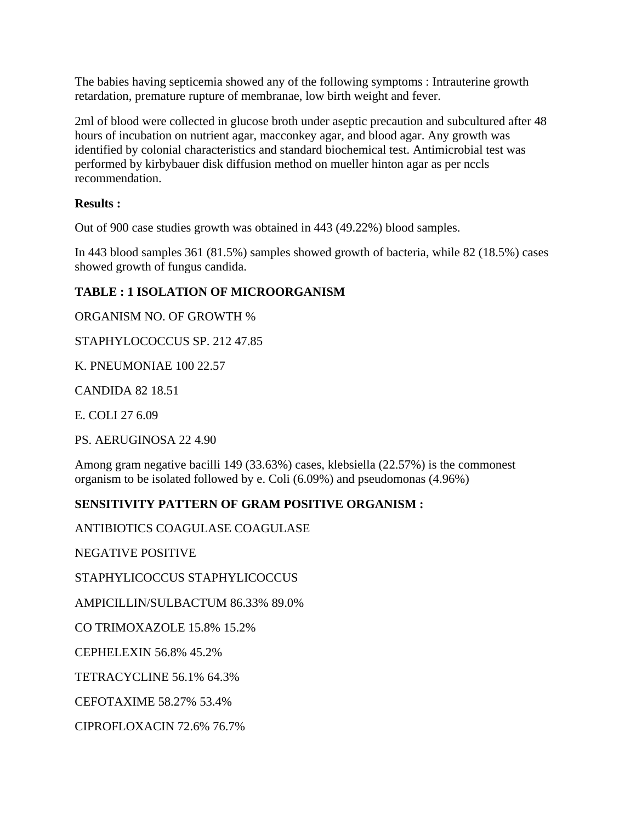The babies having septicemia showed any of the following symptoms : Intrauterine growth retardation, premature rupture of membranae, low birth weight and fever.

2ml of blood were collected in glucose broth under aseptic precaution and subcultured after 48 hours of incubation on nutrient agar, macconkey agar, and blood agar. Any growth was identified by colonial characteristics and standard biochemical test. Antimicrobial test was performed by kirbybauer disk diffusion method on mueller hinton agar as per nccls recommendation.

### **Results :**

Out of 900 case studies growth was obtained in 443 (49.22%) blood samples.

In 443 blood samples 361 (81.5%) samples showed growth of bacteria, while 82 (18.5%) cases showed growth of fungus candida.

# **TABLE : 1 ISOLATION OF MICROORGANISM**

ORGANISM NO. OF GROWTH %

STAPHYLOCOCCUS SP. 212 47.85

K. PNEUMONIAE 100 22.57

CANDIDA 82 18.51

E. COLI 27 6.09

PS. AERUGINOSA 22 4.90

Among gram negative bacilli 149 (33.63%) cases, klebsiella (22.57%) is the commonest organism to be isolated followed by e. Coli (6.09%) and pseudomonas (4.96%)

### **SENSITIVITY PATTERN OF GRAM POSITIVE ORGANISM :**

ANTIBIOTICS COAGULASE COAGULASE

NEGATIVE POSITIVE

STAPHYLICOCCUS STAPHYLICOCCUS

AMPICILLIN/SULBACTUM 86.33% 89.0%

CO TRIMOXAZOLE 15.8% 15.2%

CEPHELEXIN 56.8% 45.2%

TETRACYCLINE 56.1% 64.3%

CEFOTAXIME 58.27% 53.4%

CIPROFLOXACIN 72.6% 76.7%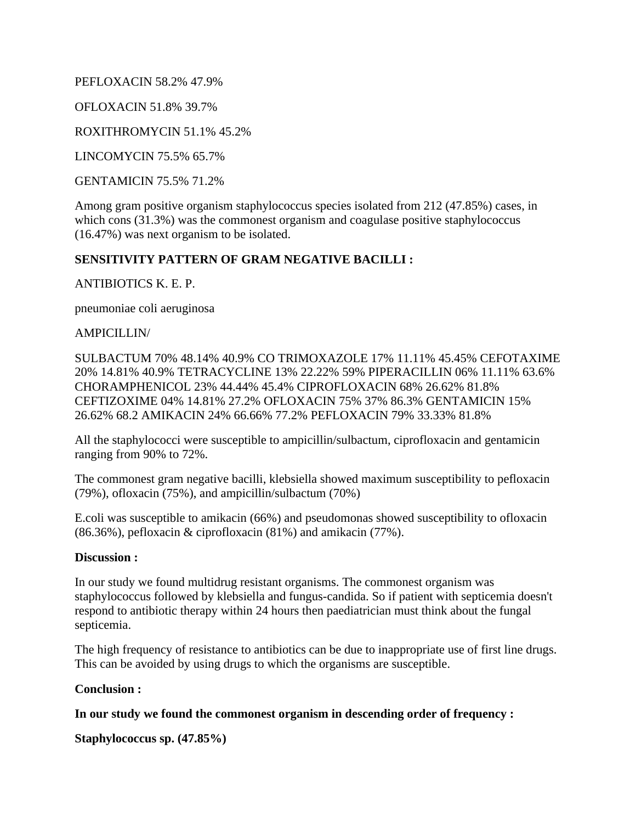PEFLOXACIN 58.2% 47.9%

OFLOXACIN 51.8% 39.7%

ROXITHROMYCIN 51.1% 45.2%

LINCOMYCIN 75.5% 65.7%

GENTAMICIN 75.5% 71.2%

Among gram positive organism staphylococcus species isolated from 212 (47.85%) cases, in which cons (31.3%) was the commonest organism and coagulase positive staphylococcus (16.47%) was next organism to be isolated.

### **SENSITIVITY PATTERN OF GRAM NEGATIVE BACILLI :**

ANTIBIOTICS K. E. P.

pneumoniae coli aeruginosa

#### AMPICILLIN/

SULBACTUM 70% 48.14% 40.9% CO TRIMOXAZOLE 17% 11.11% 45.45% CEFOTAXIME 20% 14.81% 40.9% TETRACYCLINE 13% 22.22% 59% PIPERACILLIN 06% 11.11% 63.6% CHORAMPHENICOL 23% 44.44% 45.4% CIPROFLOXACIN 68% 26.62% 81.8% CEFTIZOXIME 04% 14.81% 27.2% OFLOXACIN 75% 37% 86.3% GENTAMICIN 15% 26.62% 68.2 AMIKACIN 24% 66.66% 77.2% PEFLOXACIN 79% 33.33% 81.8%

All the staphylococci were susceptible to ampicillin/sulbactum, ciprofloxacin and gentamicin ranging from 90% to 72%.

The commonest gram negative bacilli, klebsiella showed maximum susceptibility to pefloxacin (79%), ofloxacin (75%), and ampicillin/sulbactum (70%)

E.coli was susceptible to amikacin (66%) and pseudomonas showed susceptibility to ofloxacin (86.36%), pefloxacin & ciprofloxacin (81%) and amikacin (77%).

#### **Discussion :**

In our study we found multidrug resistant organisms. The commonest organism was staphylococcus followed by klebsiella and fungus-candida. So if patient with septicemia doesn't respond to antibiotic therapy within 24 hours then paediatrician must think about the fungal septicemia.

The high frequency of resistance to antibiotics can be due to inappropriate use of first line drugs. This can be avoided by using drugs to which the organisms are susceptible.

#### **Conclusion :**

**In our study we found the commonest organism in descending order of frequency :** 

**Staphylococcus sp. (47.85%)**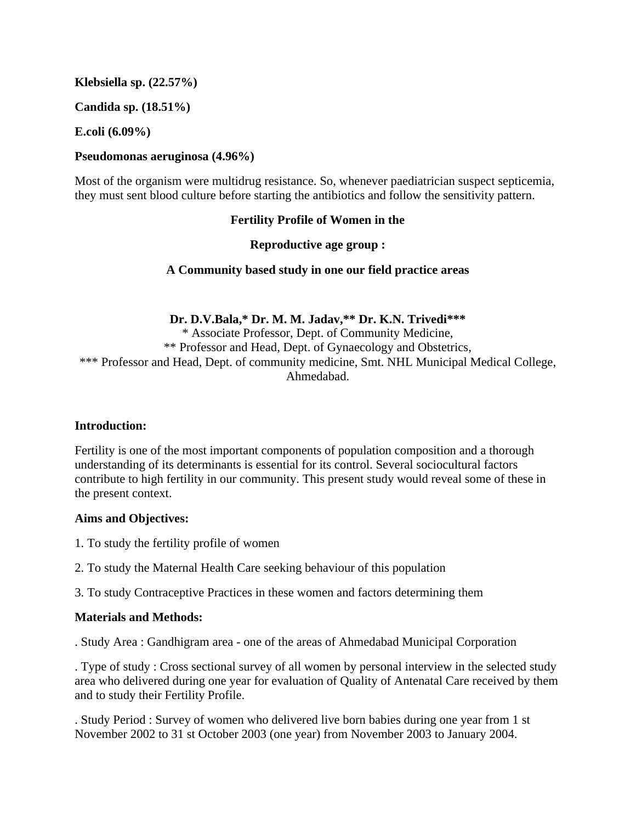**Klebsiella sp. (22.57%)** 

**Candida sp. (18.51%)** 

**E.coli (6.09%)** 

#### **Pseudomonas aeruginosa (4.96%)**

Most of the organism were multidrug resistance. So, whenever paediatrician suspect septicemia, they must sent blood culture before starting the antibiotics and follow the sensitivity pattern.

### **Fertility Profile of Women in the**

### **Reproductive age group :**

### **A Community based study in one our field practice areas**

**Dr. D.V.Bala,\* Dr. M. M. Jadav,\*\* Dr. K.N. Trivedi\*\*\*** 

\* Associate Professor, Dept. of Community Medicine, \*\* Professor and Head, Dept. of Gynaecology and Obstetrics, \*\*\* Professor and Head, Dept. of community medicine, Smt. NHL Municipal Medical College, Ahmedabad.

#### **Introduction:**

Fertility is one of the most important components of population composition and a thorough understanding of its determinants is essential for its control. Several sociocultural factors contribute to high fertility in our community. This present study would reveal some of these in the present context.

#### **Aims and Objectives:**

- 1. To study the fertility profile of women
- 2. To study the Maternal Health Care seeking behaviour of this population

3. To study Contraceptive Practices in these women and factors determining them

#### **Materials and Methods:**

. Study Area : Gandhigram area - one of the areas of Ahmedabad Municipal Corporation

. Type of study : Cross sectional survey of all women by personal interview in the selected study area who delivered during one year for evaluation of Quality of Antenatal Care received by them and to study their Fertility Profile.

. Study Period : Survey of women who delivered live born babies during one year from 1 st November 2002 to 31 st October 2003 (one year) from November 2003 to January 2004.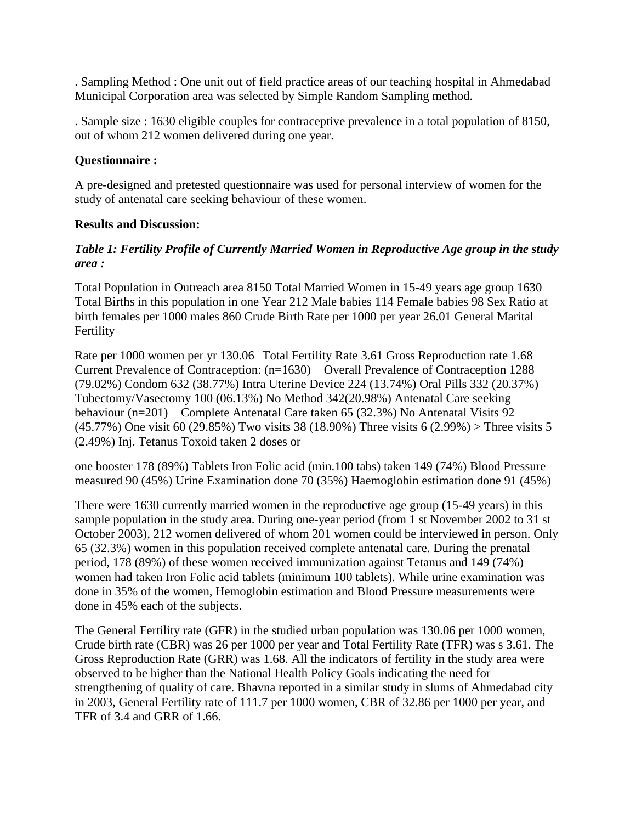. Sampling Method : One unit out of field practice areas of our teaching hospital in Ahmedabad Municipal Corporation area was selected by Simple Random Sampling method.

. Sample size : 1630 eligible couples for contraceptive prevalence in a total population of 8150, out of whom 212 women delivered during one year.

### **Questionnaire :**

A pre-designed and pretested questionnaire was used for personal interview of women for the study of antenatal care seeking behaviour of these women.

### **Results and Discussion:**

### *Table 1: Fertility Profile of Currently Married Women in Reproductive Age group in the study area :*

Total Population in Outreach area 8150 Total Married Women in 15-49 years age group 1630 Total Births in this population in one Year 212 Male babies 114 Female babies 98 Sex Ratio at birth females per 1000 males 860 Crude Birth Rate per 1000 per year 26.01 General Marital Fertility

Rate per 1000 women per yr 130.06 Total Fertility Rate 3.61 Gross Reproduction rate 1.68 Current Prevalence of Contraception: (n=1630) Overall Prevalence of Contraception 1288 (79.02%) Condom 632 (38.77%) Intra Uterine Device 224 (13.74%) Oral Pills 332 (20.37%) Tubectomy/Vasectomy 100 (06.13%) No Method 342(20.98%) Antenatal Care seeking behaviour (n=201) Complete Antenatal Care taken 65 (32.3%) No Antenatal Visits 92 (45.77%) One visit 60 (29.85%) Two visits 38 (18.90%) Three visits 6 (2.99%) > Three visits 5 (2.49%) Inj. Tetanus Toxoid taken 2 doses or

one booster 178 (89%) Tablets Iron Folic acid (min.100 tabs) taken 149 (74%) Blood Pressure measured 90 (45%) Urine Examination done 70 (35%) Haemoglobin estimation done 91 (45%)

There were 1630 currently married women in the reproductive age group (15-49 years) in this sample population in the study area. During one-year period (from 1 st November 2002 to 31 st October 2003), 212 women delivered of whom 201 women could be interviewed in person. Only 65 (32.3%) women in this population received complete antenatal care. During the prenatal period, 178 (89%) of these women received immunization against Tetanus and 149 (74%) women had taken Iron Folic acid tablets (minimum 100 tablets). While urine examination was done in 35% of the women, Hemoglobin estimation and Blood Pressure measurements were done in 45% each of the subjects.

The General Fertility rate (GFR) in the studied urban population was 130.06 per 1000 women, Crude birth rate (CBR) was 26 per 1000 per year and Total Fertility Rate (TFR) was s 3.61. The Gross Reproduction Rate (GRR) was 1.68. All the indicators of fertility in the study area were observed to be higher than the National Health Policy Goals indicating the need for strengthening of quality of care. Bhavna reported in a similar study in slums of Ahmedabad city in 2003, General Fertility rate of 111.7 per 1000 women, CBR of 32.86 per 1000 per year, and TFR of 3.4 and GRR of 1.66.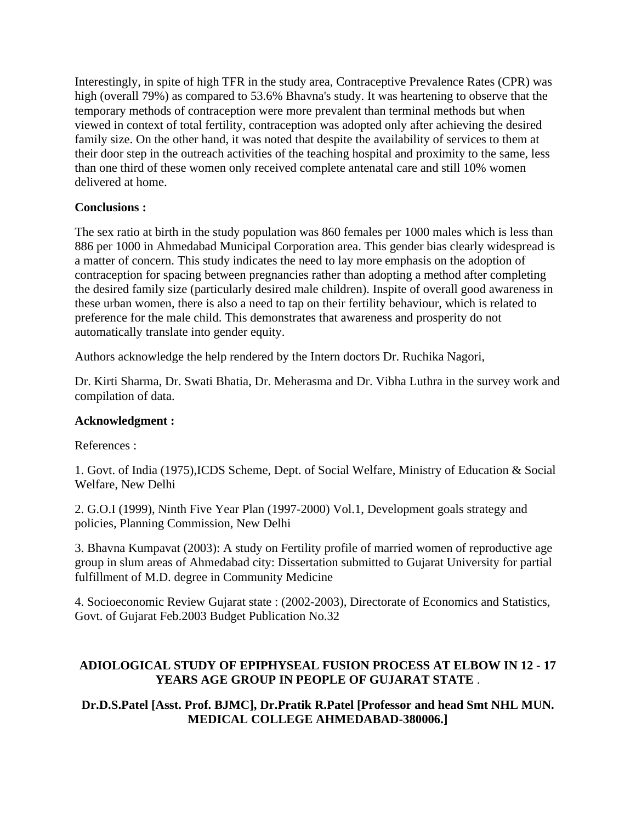Interestingly, in spite of high TFR in the study area, Contraceptive Prevalence Rates (CPR) was high (overall 79%) as compared to 53.6% Bhavna's study. It was heartening to observe that the temporary methods of contraception were more prevalent than terminal methods but when viewed in context of total fertility, contraception was adopted only after achieving the desired family size. On the other hand, it was noted that despite the availability of services to them at their door step in the outreach activities of the teaching hospital and proximity to the same, less than one third of these women only received complete antenatal care and still 10% women delivered at home.

### **Conclusions :**

The sex ratio at birth in the study population was 860 females per 1000 males which is less than 886 per 1000 in Ahmedabad Municipal Corporation area. This gender bias clearly widespread is a matter of concern. This study indicates the need to lay more emphasis on the adoption of contraception for spacing between pregnancies rather than adopting a method after completing the desired family size (particularly desired male children). Inspite of overall good awareness in these urban women, there is also a need to tap on their fertility behaviour, which is related to preference for the male child. This demonstrates that awareness and prosperity do not automatically translate into gender equity.

Authors acknowledge the help rendered by the Intern doctors Dr. Ruchika Nagori,

Dr. Kirti Sharma, Dr. Swati Bhatia, Dr. Meherasma and Dr. Vibha Luthra in the survey work and compilation of data.

#### **Acknowledgment :**

References :

1. Govt. of India (1975),ICDS Scheme, Dept. of Social Welfare, Ministry of Education & Social Welfare, New Delhi

2. G.O.I (1999), Ninth Five Year Plan (1997-2000) Vol.1, Development goals strategy and policies, Planning Commission, New Delhi

3. Bhavna Kumpavat (2003): A study on Fertility profile of married women of reproductive age group in slum areas of Ahmedabad city: Dissertation submitted to Gujarat University for partial fulfillment of M.D. degree in Community Medicine

4. Socioeconomic Review Gujarat state : (2002-2003), Directorate of Economics and Statistics, Govt. of Gujarat Feb.2003 Budget Publication No.32

### **ADIOLOGICAL STUDY OF EPIPHYSEAL FUSION PROCESS AT ELBOW IN 12 - 17 YEARS AGE GROUP IN PEOPLE OF GUJARAT STATE** .

### **Dr.D.S.Patel [Asst. Prof. BJMC], Dr.Pratik R.Patel [Professor and head Smt NHL MUN. MEDICAL COLLEGE AHMEDABAD-380006.]**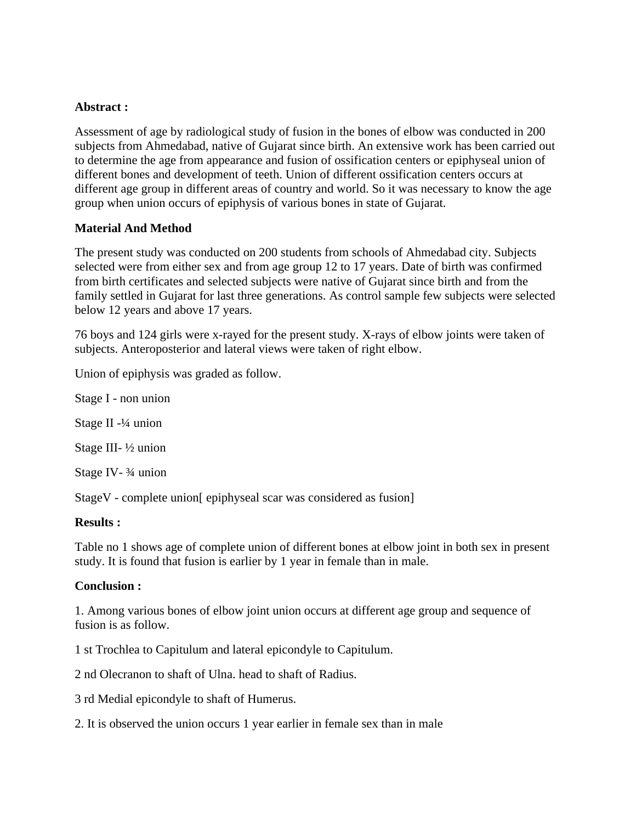#### **Abstract :**

Assessment of age by radiological study of fusion in the bones of elbow was conducted in 200 subjects from Ahmedabad, native of Gujarat since birth. An extensive work has been carried out to determine the age from appearance and fusion of ossification centers or epiphyseal union of different bones and development of teeth. Union of different ossification centers occurs at different age group in different areas of country and world. So it was necessary to know the age group when union occurs of epiphysis of various bones in state of Gujarat.

### **Material And Method**

The present study was conducted on 200 students from schools of Ahmedabad city. Subjects selected were from either sex and from age group 12 to 17 years. Date of birth was confirmed from birth certificates and selected subjects were native of Gujarat since birth and from the family settled in Gujarat for last three generations. As control sample few subjects were selected below 12 years and above 17 years.

76 boys and 124 girls were x-rayed for the present study. X-rays of elbow joints were taken of subjects. Anteroposterior and lateral views were taken of right elbow.

Union of epiphysis was graded as follow.

Stage I - non union

Stage II -¼ union

Stage III- ½ union

Stage IV- ¾ union

StageV - complete union[ epiphyseal scar was considered as fusion]

#### **Results :**

Table no 1 shows age of complete union of different bones at elbow joint in both sex in present study. It is found that fusion is earlier by 1 year in female than in male.

#### **Conclusion :**

1. Among various bones of elbow joint union occurs at different age group and sequence of fusion is as follow.

1 st Trochlea to Capitulum and lateral epicondyle to Capitulum.

2 nd Olecranon to shaft of Ulna. head to shaft of Radius.

3 rd Medial epicondyle to shaft of Humerus.

2. It is observed the union occurs 1 year earlier in female sex than in male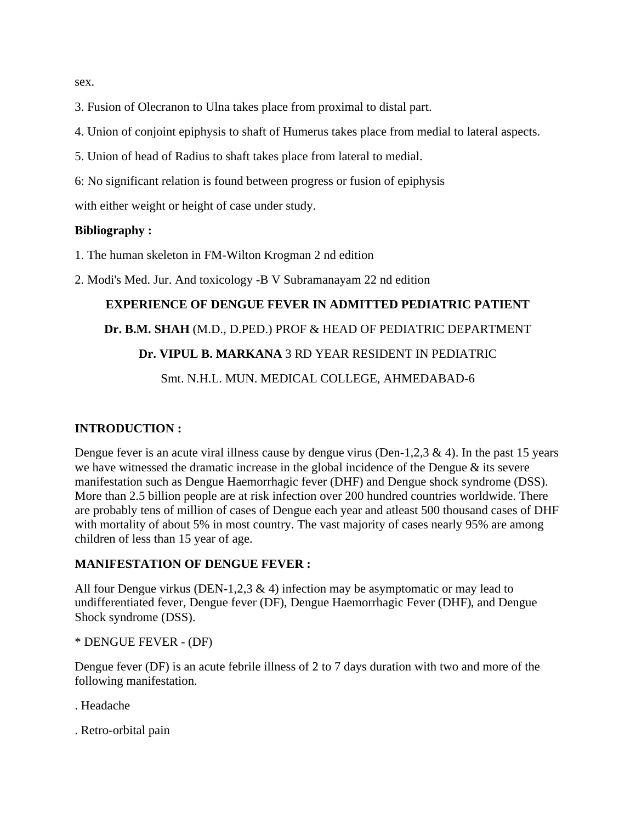sex.

- 3. Fusion of Olecranon to Ulna takes place from proximal to distal part.
- 4. Union of conjoint epiphysis to shaft of Humerus takes place from medial to lateral aspects.
- 5. Union of head of Radius to shaft takes place from lateral to medial.
- 6: No significant relation is found between progress or fusion of epiphysis

with either weight or height of case under study.

#### **Bibliography :**

1. The human skeleton in FM-Wilton Krogman 2 nd edition

2. Modi's Med. Jur. And toxicology -B V Subramanayam 22 nd edition

#### **EXPERIENCE OF DENGUE FEVER IN ADMITTED PEDIATRIC PATIENT**

#### **Dr. B.M. SHAH** (M.D., D.PED.) PROF & HEAD OF PEDIATRIC DEPARTMENT

#### **Dr. VIPUL B. MARKANA** 3 RD YEAR RESIDENT IN PEDIATRIC

Smt. N.H.L. MUN. MEDICAL COLLEGE, AHMEDABAD-6

#### **INTRODUCTION :**

Dengue fever is an acute viral illness cause by dengue virus (Den-1,2,3  $\&$  4). In the past 15 years we have witnessed the dramatic increase in the global incidence of the Dengue & its severe manifestation such as Dengue Haemorrhagic fever (DHF) and Dengue shock syndrome (DSS). More than 2.5 billion people are at risk infection over 200 hundred countries worldwide. There are probably tens of million of cases of Dengue each year and atleast 500 thousand cases of DHF with mortality of about 5% in most country. The vast majority of cases nearly 95% are among children of less than 15 year of age.

#### **MANIFESTATION OF DENGUE FEVER :**

All four Dengue virkus (DEN-1,2,3  $\&$  4) infection may be asymptomatic or may lead to undifferentiated fever, Dengue fever (DF), Dengue Haemorrhagic Fever (DHF), and Dengue Shock syndrome (DSS).

#### \* DENGUE FEVER - (DF)

Dengue fever (DF) is an acute febrile illness of 2 to 7 days duration with two and more of the following manifestation.

- . Headache
- . Retro-orbital pain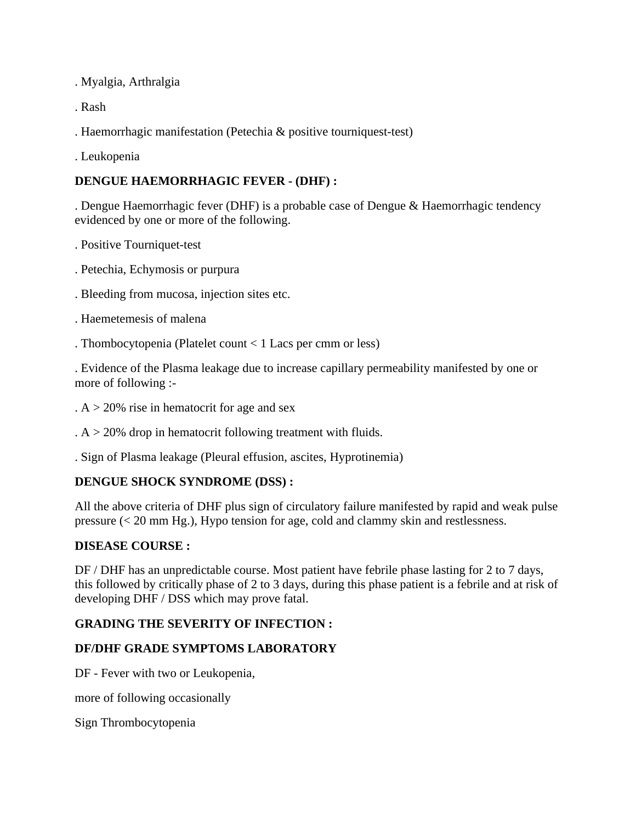. Myalgia, Arthralgia

. Rash

. Haemorrhagic manifestation (Petechia & positive tourniquest-test)

. Leukopenia

# **DENGUE HAEMORRHAGIC FEVER - (DHF) :**

. Dengue Haemorrhagic fever (DHF) is a probable case of Dengue & Haemorrhagic tendency evidenced by one or more of the following.

- . Positive Tourniquet-test
- . Petechia, Echymosis or purpura
- . Bleeding from mucosa, injection sites etc.
- . Haemetemesis of malena
- . Thombocytopenia (Platelet count < 1 Lacs per cmm or less)

. Evidence of the Plasma leakage due to increase capillary permeability manifested by one or more of following :-

- .  $A > 20\%$  rise in hematocrit for age and sex
- .  $A > 20\%$  drop in hematocrit following treatment with fluids.
- . Sign of Plasma leakage (Pleural effusion, ascites, Hyprotinemia)

### **DENGUE SHOCK SYNDROME (DSS) :**

All the above criteria of DHF plus sign of circulatory failure manifested by rapid and weak pulse pressure (< 20 mm Hg.), Hypo tension for age, cold and clammy skin and restlessness.

#### **DISEASE COURSE :**

DF / DHF has an unpredictable course. Most patient have febrile phase lasting for 2 to 7 days, this followed by critically phase of 2 to 3 days, during this phase patient is a febrile and at risk of developing DHF / DSS which may prove fatal.

### **GRADING THE SEVERITY OF INFECTION :**

### **DF/DHF GRADE SYMPTOMS LABORATORY**

DF - Fever with two or Leukopenia,

more of following occasionally

Sign Thrombocytopenia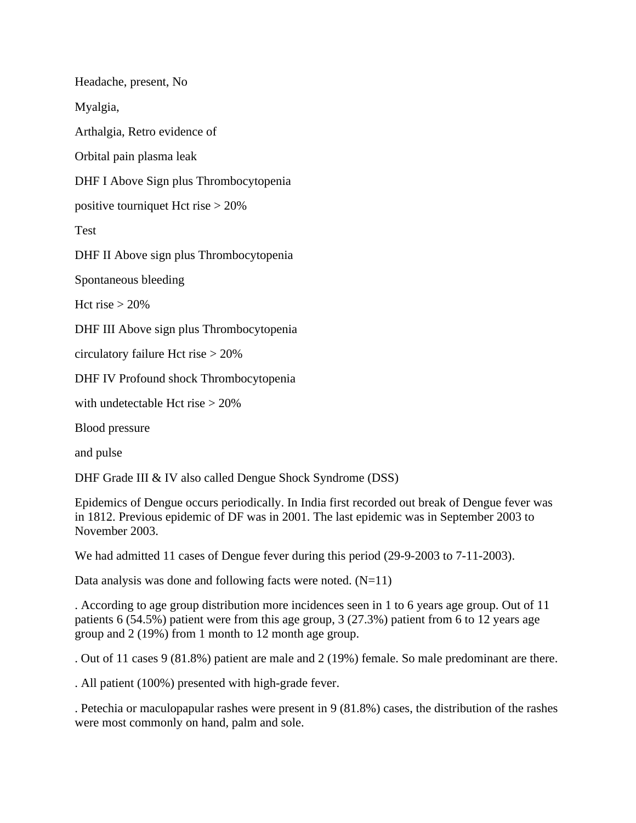Headache, present, No Myalgia, Arthalgia, Retro evidence of Orbital pain plasma leak DHF I Above Sign plus Thrombocytopenia positive tourniquet Hct rise > 20% Test DHF II Above sign plus Thrombocytopenia Spontaneous bleeding Hct rise  $> 20\%$ DHF III Above sign plus Thrombocytopenia circulatory failure Hct rise > 20% DHF IV Profound shock Thrombocytopenia with undetectable Hct rise > 20% Blood pressure and pulse

DHF Grade III & IV also called Dengue Shock Syndrome (DSS)

Epidemics of Dengue occurs periodically. In India first recorded out break of Dengue fever was in 1812. Previous epidemic of DF was in 2001. The last epidemic was in September 2003 to November 2003.

We had admitted 11 cases of Dengue fever during this period (29-9-2003 to 7-11-2003).

Data analysis was done and following facts were noted.  $(N=11)$ 

. According to age group distribution more incidences seen in 1 to 6 years age group. Out of 11 patients 6 (54.5%) patient were from this age group, 3 (27.3%) patient from 6 to 12 years age group and 2 (19%) from 1 month to 12 month age group.

. Out of 11 cases 9 (81.8%) patient are male and 2 (19%) female. So male predominant are there.

. All patient (100%) presented with high-grade fever.

. Petechia or maculopapular rashes were present in 9 (81.8%) cases, the distribution of the rashes were most commonly on hand, palm and sole.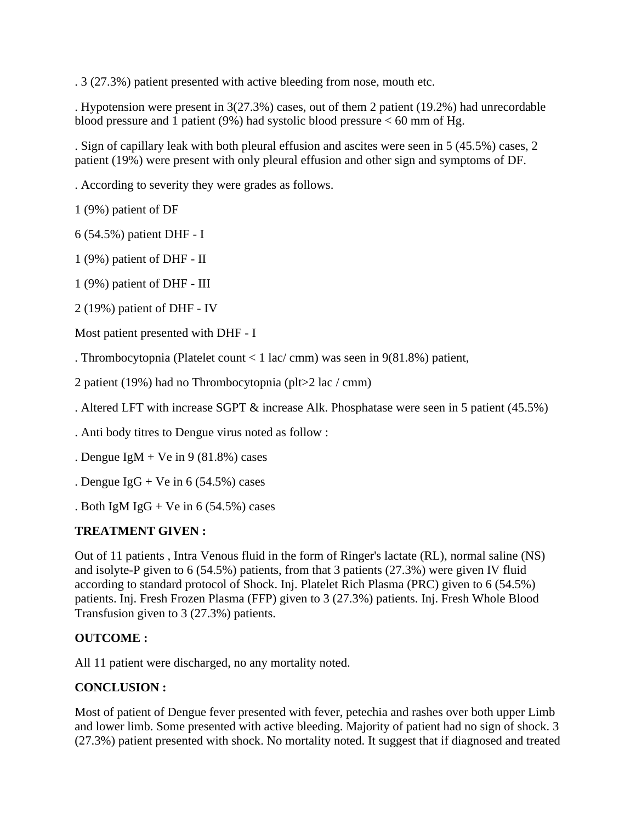. 3 (27.3%) patient presented with active bleeding from nose, mouth etc.

. Hypotension were present in 3(27.3%) cases, out of them 2 patient (19.2%) had unrecordable blood pressure and 1 patient (9%) had systolic blood pressure  $<$  60 mm of Hg.

. Sign of capillary leak with both pleural effusion and ascites were seen in 5 (45.5%) cases, 2 patient (19%) were present with only pleural effusion and other sign and symptoms of DF.

. According to severity they were grades as follows.

1 (9%) patient of DF

6 (54.5%) patient DHF - I

1 (9%) patient of DHF - II

1 (9%) patient of DHF - III

2 (19%) patient of DHF - IV

Most patient presented with DHF - I

. Thrombocytopnia (Platelet count < 1 lac/ cmm) was seen in 9(81.8%) patient,

2 patient (19%) had no Thrombocytopnia (plt>2 lac / cmm)

. Altered LFT with increase SGPT & increase Alk. Phosphatase were seen in 5 patient (45.5%)

. Anti body titres to Dengue virus noted as follow :

. Dengue IgM + Ve in 9 (81.8%) cases

. Dengue  $IgG + Ve$  in 6 (54.5%) cases

. Both IgM IgG + Ve in 6 (54.5%) cases

#### **TREATMENT GIVEN :**

Out of 11 patients , Intra Venous fluid in the form of Ringer's lactate (RL), normal saline (NS) and isolyte-P given to 6 (54.5%) patients, from that 3 patients (27.3%) were given IV fluid according to standard protocol of Shock. Inj. Platelet Rich Plasma (PRC) given to 6 (54.5%) patients. Inj. Fresh Frozen Plasma (FFP) given to 3 (27.3%) patients. Inj. Fresh Whole Blood Transfusion given to 3 (27.3%) patients.

#### **OUTCOME :**

All 11 patient were discharged, no any mortality noted.

#### **CONCLUSION :**

Most of patient of Dengue fever presented with fever, petechia and rashes over both upper Limb and lower limb. Some presented with active bleeding. Majority of patient had no sign of shock. 3 (27.3%) patient presented with shock. No mortality noted. It suggest that if diagnosed and treated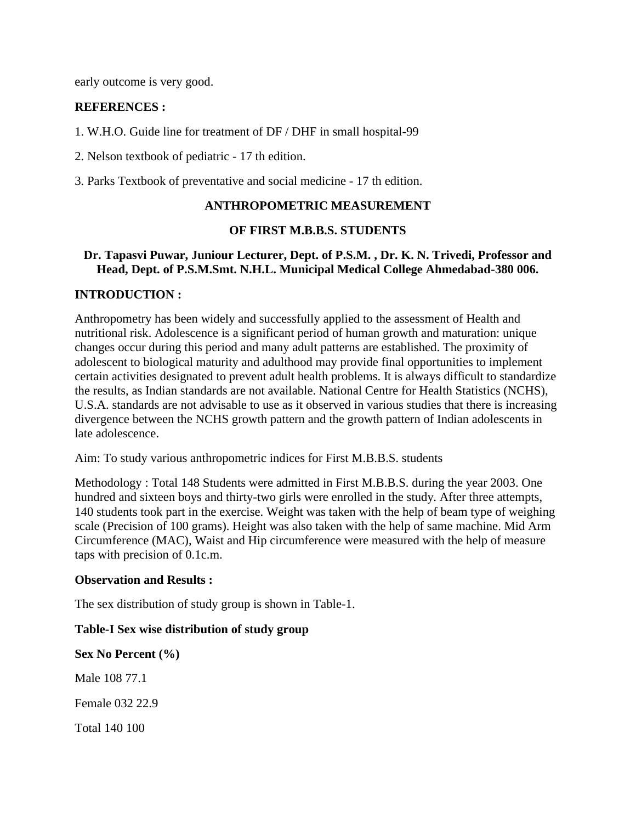early outcome is very good.

### **REFERENCES :**

1. W.H.O. Guide line for treatment of DF / DHF in small hospital-99

2. Nelson textbook of pediatric - 17 th edition.

3. Parks Textbook of preventative and social medicine - 17 th edition.

### **ANTHROPOMETRIC MEASUREMENT**

#### **OF FIRST M.B.B.S. STUDENTS**

#### **Dr. Tapasvi Puwar, Juniour Lecturer, Dept. of P.S.M. , Dr. K. N. Trivedi, Professor and Head, Dept. of P.S.M.Smt. N.H.L. Municipal Medical College Ahmedabad-380 006.**

### **INTRODUCTION :**

Anthropometry has been widely and successfully applied to the assessment of Health and nutritional risk. Adolescence is a significant period of human growth and maturation: unique changes occur during this period and many adult patterns are established. The proximity of adolescent to biological maturity and adulthood may provide final opportunities to implement certain activities designated to prevent adult health problems. It is always difficult to standardize the results, as Indian standards are not available. National Centre for Health Statistics (NCHS), U.S.A. standards are not advisable to use as it observed in various studies that there is increasing divergence between the NCHS growth pattern and the growth pattern of Indian adolescents in late adolescence.

Aim: To study various anthropometric indices for First M.B.B.S. students

Methodology : Total 148 Students were admitted in First M.B.B.S. during the year 2003. One hundred and sixteen boys and thirty-two girls were enrolled in the study. After three attempts, 140 students took part in the exercise. Weight was taken with the help of beam type of weighing scale (Precision of 100 grams). Height was also taken with the help of same machine. Mid Arm Circumference (MAC), Waist and Hip circumference were measured with the help of measure taps with precision of 0.1c.m.

#### **Observation and Results :**

The sex distribution of study group is shown in Table-1.

### **Table-I Sex wise distribution of study group**

**Sex No Percent (%)**  Male 108 77.1 Female 032 22.9

Total 140 100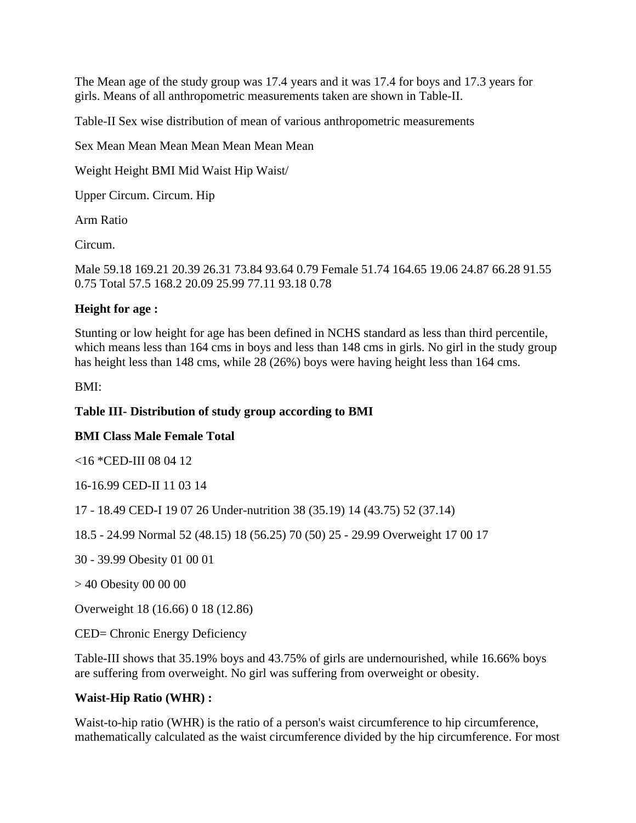The Mean age of the study group was 17.4 years and it was 17.4 for boys and 17.3 years for girls. Means of all anthropometric measurements taken are shown in Table-II.

Table-II Sex wise distribution of mean of various anthropometric measurements

Sex Mean Mean Mean Mean Mean Mean Mean

Weight Height BMI Mid Waist Hip Waist/

Upper Circum. Circum. Hip

Arm Ratio

Circum.

Male 59.18 169.21 20.39 26.31 73.84 93.64 0.79 Female 51.74 164.65 19.06 24.87 66.28 91.55 0.75 Total 57.5 168.2 20.09 25.99 77.11 93.18 0.78

### **Height for age :**

Stunting or low height for age has been defined in NCHS standard as less than third percentile, which means less than 164 cms in boys and less than 148 cms in girls. No girl in the study group has height less than 148 cms, while 28 (26%) boys were having height less than 164 cms.

BMI:

### **Table III- Distribution of study group according to BMI**

### **BMI Class Male Female Total**

<16 \*CED-III 08 04 12

16-16.99 CED-II 11 03 14

17 - 18.49 CED-I 19 07 26 Under-nutrition 38 (35.19) 14 (43.75) 52 (37.14)

18.5 - 24.99 Normal 52 (48.15) 18 (56.25) 70 (50) 25 - 29.99 Overweight 17 00 17

30 - 39.99 Obesity 01 00 01

> 40 Obesity 00 00 00

Overweight 18 (16.66) 0 18 (12.86)

CED= Chronic Energy Deficiency

Table-III shows that 35.19% boys and 43.75% of girls are undernourished, while 16.66% boys are suffering from overweight. No girl was suffering from overweight or obesity.

### **Waist-Hip Ratio (WHR) :**

Waist-to-hip ratio (WHR) is the ratio of a person's waist circumference to hip circumference, mathematically calculated as the waist circumference divided by the hip circumference. For most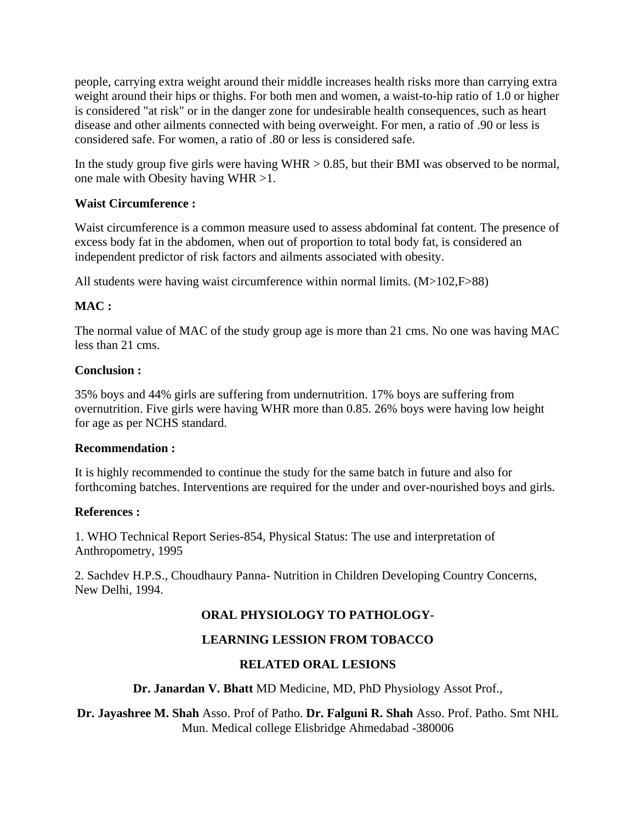people, carrying extra weight around their middle increases health risks more than carrying extra weight around their hips or thighs. For both men and women, a waist-to-hip ratio of 1.0 or higher is considered "at risk" or in the danger zone for undesirable health consequences, such as heart disease and other ailments connected with being overweight. For men, a ratio of .90 or less is considered safe. For women, a ratio of .80 or less is considered safe.

In the study group five girls were having  $WHR > 0.85$ , but their BMI was observed to be normal, one male with Obesity having WHR >1.

### **Waist Circumference :**

Waist circumference is a common measure used to assess abdominal fat content. The presence of excess body fat in the abdomen, when out of proportion to total body fat, is considered an independent predictor of risk factors and ailments associated with obesity.

All students were having waist circumference within normal limits. (M>102,F>88)

# **MAC :**

The normal value of MAC of the study group age is more than 21 cms. No one was having MAC less than 21 cms.

### **Conclusion :**

35% boys and 44% girls are suffering from undernutrition. 17% boys are suffering from overnutrition. Five girls were having WHR more than 0.85. 26% boys were having low height for age as per NCHS standard.

### **Recommendation :**

It is highly recommended to continue the study for the same batch in future and also for forthcoming batches. Interventions are required for the under and over-nourished boys and girls.

### **References :**

1. WHO Technical Report Series-854, Physical Status: The use and interpretation of Anthropometry, 1995

2. Sachdev H.P.S., Choudhaury Panna- Nutrition in Children Developing Country Concerns, New Delhi, 1994.

# **ORAL PHYSIOLOGY TO PATHOLOGY-**

# **LEARNING LESSION FROM TOBACCO**

### **RELATED ORAL LESIONS**

#### **Dr. Janardan V. Bhatt** MD Medicine, MD, PhD Physiology Assot Prof.,

**Dr. Jayashree M. Shah** Asso. Prof of Patho. **Dr. Falguni R. Shah** Asso. Prof. Patho. Smt NHL Mun. Medical college Elisbridge Ahmedabad -380006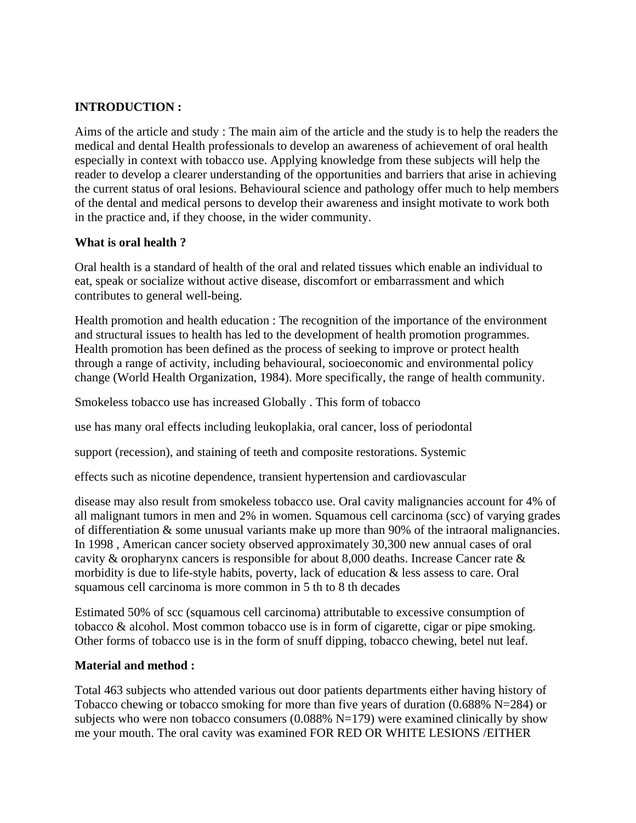## **INTRODUCTION :**

Aims of the article and study : The main aim of the article and the study is to help the readers the medical and dental Health professionals to develop an awareness of achievement of oral health especially in context with tobacco use. Applying knowledge from these subjects will help the reader to develop a clearer understanding of the opportunities and barriers that arise in achieving the current status of oral lesions. Behavioural science and pathology offer much to help members of the dental and medical persons to develop their awareness and insight motivate to work both in the practice and, if they choose, in the wider community.

### **What is oral health ?**

Oral health is a standard of health of the oral and related tissues which enable an individual to eat, speak or socialize without active disease, discomfort or embarrassment and which contributes to general well-being.

Health promotion and health education : The recognition of the importance of the environment and structural issues to health has led to the development of health promotion programmes. Health promotion has been defined as the process of seeking to improve or protect health through a range of activity, including behavioural, socioeconomic and environmental policy change (World Health Organization, 1984). More specifically, the range of health community.

Smokeless tobacco use has increased Globally . This form of tobacco

use has many oral effects including leukoplakia, oral cancer, loss of periodontal

support (recession), and staining of teeth and composite restorations. Systemic

effects such as nicotine dependence, transient hypertension and cardiovascular

disease may also result from smokeless tobacco use. Oral cavity malignancies account for 4% of all malignant tumors in men and 2% in women. Squamous cell carcinoma (scc) of varying grades of differentiation & some unusual variants make up more than 90% of the intraoral malignancies. In 1998 , American cancer society observed approximately 30,300 new annual cases of oral cavity & oropharynx cancers is responsible for about 8,000 deaths. Increase Cancer rate & morbidity is due to life-style habits, poverty, lack of education & less assess to care. Oral squamous cell carcinoma is more common in 5 th to 8 th decades

Estimated 50% of scc (squamous cell carcinoma) attributable to excessive consumption of tobacco & alcohol. Most common tobacco use is in form of cigarette, cigar or pipe smoking. Other forms of tobacco use is in the form of snuff dipping, tobacco chewing, betel nut leaf.

### **Material and method :**

Total 463 subjects who attended various out door patients departments either having history of Tobacco chewing or tobacco smoking for more than five years of duration (0.688% N=284) or subjects who were non tobacco consumers  $(0.088\% N=179)$  were examined clinically by show me your mouth. The oral cavity was examined FOR RED OR WHITE LESIONS /EITHER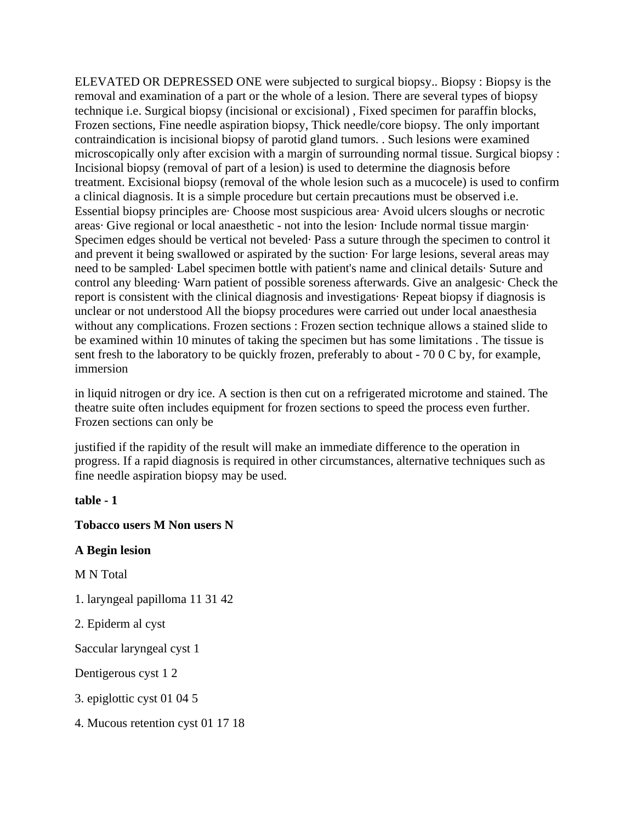ELEVATED OR DEPRESSED ONE were subjected to surgical biopsy.. Biopsy : Biopsy is the removal and examination of a part or the whole of a lesion. There are several types of biopsy technique i.e. Surgical biopsy (incisional or excisional) , Fixed specimen for paraffin blocks, Frozen sections, Fine needle aspiration biopsy, Thick needle/core biopsy. The only important contraindication is incisional biopsy of parotid gland tumors. . Such lesions were examined microscopically only after excision with a margin of surrounding normal tissue. Surgical biopsy : Incisional biopsy (removal of part of a lesion) is used to determine the diagnosis before treatment. Excisional biopsy (removal of the whole lesion such as a mucocele) is used to confirm a clinical diagnosis. It is a simple procedure but certain precautions must be observed i.e. Essential biopsy principles are· Choose most suspicious area· Avoid ulcers sloughs or necrotic areas· Give regional or local anaesthetic - not into the lesion· Include normal tissue margin· Specimen edges should be vertical not beveled· Pass a suture through the specimen to control it and prevent it being swallowed or aspirated by the suction· For large lesions, several areas may need to be sampled· Label specimen bottle with patient's name and clinical details· Suture and control any bleeding· Warn patient of possible soreness afterwards. Give an analgesic· Check the report is consistent with the clinical diagnosis and investigations· Repeat biopsy if diagnosis is unclear or not understood All the biopsy procedures were carried out under local anaesthesia without any complications. Frozen sections : Frozen section technique allows a stained slide to be examined within 10 minutes of taking the specimen but has some limitations . The tissue is sent fresh to the laboratory to be quickly frozen, preferably to about - 70 0 C by, for example, immersion

in liquid nitrogen or dry ice. A section is then cut on a refrigerated microtome and stained. The theatre suite often includes equipment for frozen sections to speed the process even further. Frozen sections can only be

justified if the rapidity of the result will make an immediate difference to the operation in progress. If a rapid diagnosis is required in other circumstances, alternative techniques such as fine needle aspiration biopsy may be used.

**table - 1** 

#### **Tobacco users M Non users N**

#### **A Begin lesion**

M N Total

- 1. laryngeal papilloma 11 31 42
- 2. Epiderm al cyst

Saccular laryngeal cyst 1

Dentigerous cyst 1 2

3. epiglottic cyst 01 04 5

4. Mucous retention cyst 01 17 18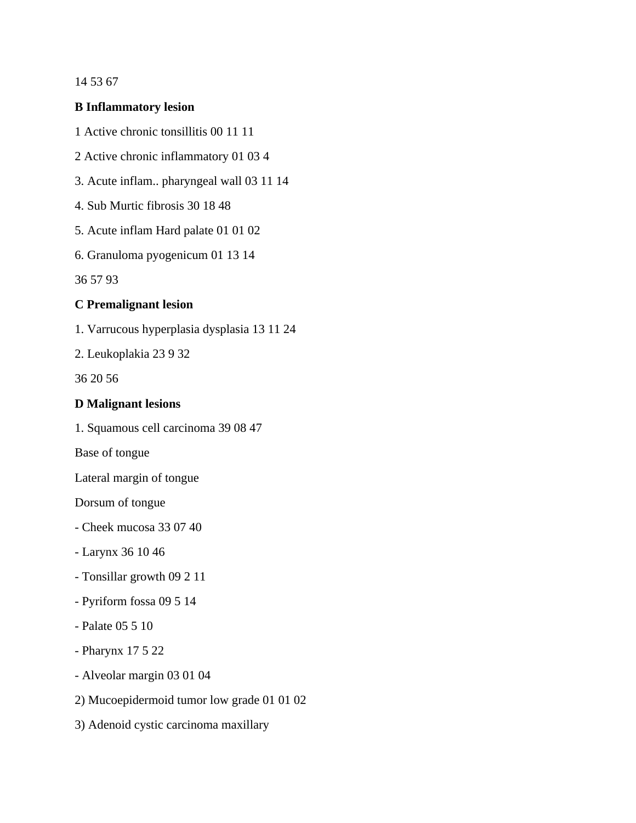#### 14 53 67

#### **B Inflammatory lesion**

- 1 Active chronic tonsillitis 00 11 11
- 2 Active chronic inflammatory 01 03 4
- 3. Acute inflam.. pharyngeal wall 03 11 14
- 4. Sub Murtic fibrosis 30 18 48
- 5. Acute inflam Hard palate 01 01 02
- 6. Granuloma pyogenicum 01 13 14

36 57 93

#### **C Premalignant lesion**

1. Varrucous hyperplasia dysplasia 13 11 24

2. Leukoplakia 23 9 32

36 20 56

#### **D Malignant lesions**

1. Squamous cell carcinoma 39 08 47

Base of tongue

Lateral margin of tongue

Dorsum of tongue

- Cheek mucosa 33 07 40
- Larynx 36 10 46
- Tonsillar growth 09 2 11
- Pyriform fossa 09 5 14
- Palate 05 5 10
- Pharynx 17 5 22
- Alveolar margin 03 01 04
- 2) Mucoepidermoid tumor low grade 01 01 02
- 3) Adenoid cystic carcinoma maxillary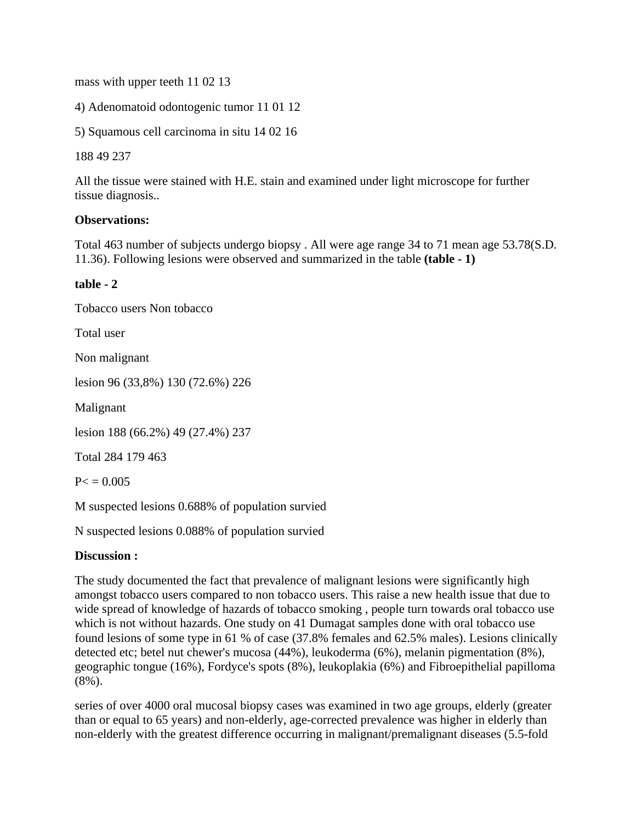mass with upper teeth 11 02 13

4) Adenomatoid odontogenic tumor 11 01 12

5) Squamous cell carcinoma in situ 14 02 16

188 49 237

All the tissue were stained with H.E. stain and examined under light microscope for further tissue diagnosis..

### **Observations:**

Total 463 number of subjects undergo biopsy . All were age range 34 to 71 mean age 53.78(S.D. 11.36). Following lesions were observed and summarized in the table **(table - 1)** 

### **table - 2**

Tobacco users Non tobacco Total user Non malignant lesion 96 (33,8%) 130 (72.6%) 226 Malignant lesion 188 (66.2%) 49 (27.4%) 237 Total 284 179 463  $P< 0.005$ M suspected lesions 0.688% of population survied

N suspected lesions 0.088% of population survied

### **Discussion :**

The study documented the fact that prevalence of malignant lesions were significantly high amongst tobacco users compared to non tobacco users. This raise a new health issue that due to wide spread of knowledge of hazards of tobacco smoking , people turn towards oral tobacco use which is not without hazards. One study on 41 Dumagat samples done with oral tobacco use found lesions of some type in 61 % of case (37.8% females and 62.5% males). Lesions clinically detected etc; betel nut chewer's mucosa (44%), leukoderma (6%), melanin pigmentation (8%), geographic tongue (16%), Fordyce's spots (8%), leukoplakia (6%) and Fibroepithelial papilloma (8%).

series of over 4000 oral mucosal biopsy cases was examined in two age groups, elderly (greater than or equal to 65 years) and non-elderly, age-corrected prevalence was higher in elderly than non-elderly with the greatest difference occurring in malignant/premalignant diseases (5.5-fold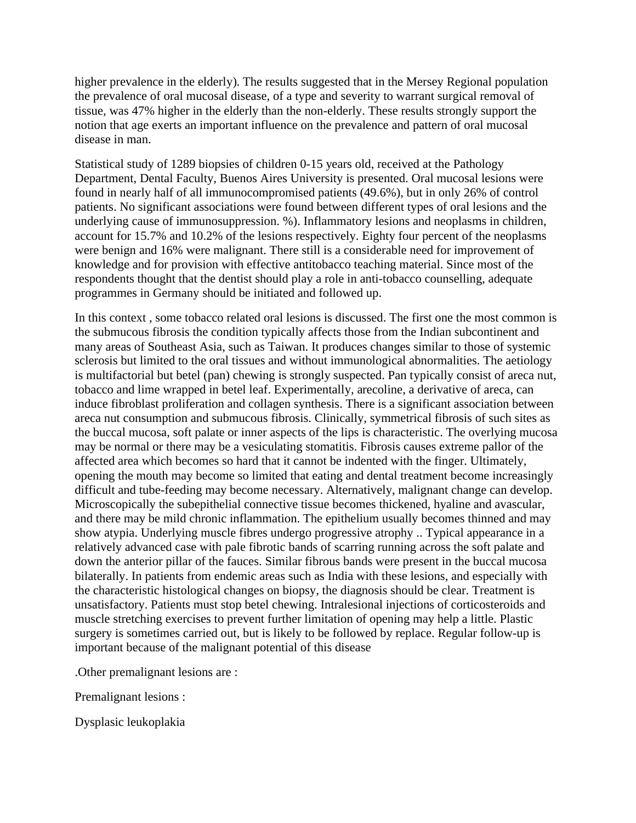higher prevalence in the elderly). The results suggested that in the Mersey Regional population the prevalence of oral mucosal disease, of a type and severity to warrant surgical removal of tissue, was 47% higher in the elderly than the non-elderly. These results strongly support the notion that age exerts an important influence on the prevalence and pattern of oral mucosal disease in man.

Statistical study of 1289 biopsies of children 0-15 years old, received at the Pathology Department, Dental Faculty, Buenos Aires University is presented. Oral mucosal lesions were found in nearly half of all immunocompromised patients (49.6%), but in only 26% of control patients. No significant associations were found between different types of oral lesions and the underlying cause of immunosuppression. %). Inflammatory lesions and neoplasms in children, account for 15.7% and 10.2% of the lesions respectively. Eighty four percent of the neoplasms were benign and 16% were malignant. There still is a considerable need for improvement of knowledge and for provision with effective antitobacco teaching material. Since most of the respondents thought that the dentist should play a role in anti-tobacco counselling, adequate programmes in Germany should be initiated and followed up.

In this context , some tobacco related oral lesions is discussed. The first one the most common is the submucous fibrosis the condition typically affects those from the Indian subcontinent and many areas of Southeast Asia, such as Taiwan. It produces changes similar to those of systemic sclerosis but limited to the oral tissues and without immunological abnormalities. The aetiology is multifactorial but betel (pan) chewing is strongly suspected. Pan typically consist of areca nut, tobacco and lime wrapped in betel leaf. Experimentally, arecoline, a derivative of areca, can induce fibroblast proliferation and collagen synthesis. There is a significant association between areca nut consumption and submucous fibrosis. Clinically, symmetrical fibrosis of such sites as the buccal mucosa, soft palate or inner aspects of the lips is characteristic. The overlying mucosa may be normal or there may be a vesiculating stomatitis. Fibrosis causes extreme pallor of the affected area which becomes so hard that it cannot be indented with the finger. Ultimately, opening the mouth may become so limited that eating and dental treatment become increasingly difficult and tube-feeding may become necessary. Alternatively, malignant change can develop. Microscopically the subepithelial connective tissue becomes thickened, hyaline and avascular, and there may be mild chronic inflammation. The epithelium usually becomes thinned and may show atypia. Underlying muscle fibres undergo progressive atrophy .. Typical appearance in a relatively advanced case with pale fibrotic bands of scarring running across the soft palate and down the anterior pillar of the fauces. Similar fibrous bands were present in the buccal mucosa bilaterally. In patients from endemic areas such as India with these lesions, and especially with the characteristic histological changes on biopsy, the diagnosis should be clear. Treatment is unsatisfactory. Patients must stop betel chewing. Intralesional injections of corticosteroids and muscle stretching exercises to prevent further limitation of opening may help a little. Plastic surgery is sometimes carried out, but is likely to be followed by replace. Regular follow-up is important because of the malignant potential of this disease

.Other premalignant lesions are :

Premalignant lesions :

Dysplasic leukoplakia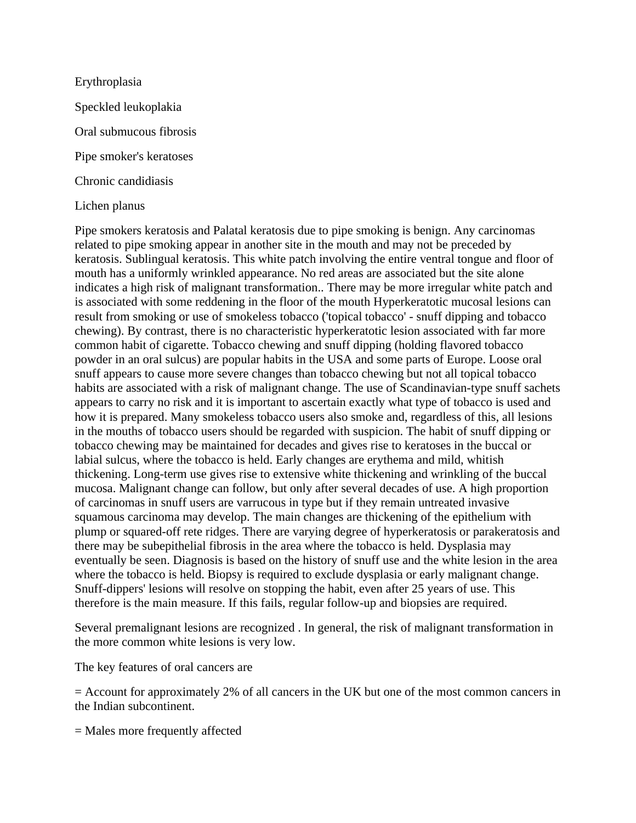Erythroplasia Speckled leukoplakia Oral submucous fibrosis Pipe smoker's keratoses Chronic candidiasis

### Lichen planus

Pipe smokers keratosis and Palatal keratosis due to pipe smoking is benign. Any carcinomas related to pipe smoking appear in another site in the mouth and may not be preceded by keratosis. Sublingual keratosis. This white patch involving the entire ventral tongue and floor of mouth has a uniformly wrinkled appearance. No red areas are associated but the site alone indicates a high risk of malignant transformation.. There may be more irregular white patch and is associated with some reddening in the floor of the mouth Hyperkeratotic mucosal lesions can result from smoking or use of smokeless tobacco ('topical tobacco' - snuff dipping and tobacco chewing). By contrast, there is no characteristic hyperkeratotic lesion associated with far more common habit of cigarette. Tobacco chewing and snuff dipping (holding flavored tobacco powder in an oral sulcus) are popular habits in the USA and some parts of Europe. Loose oral snuff appears to cause more severe changes than tobacco chewing but not all topical tobacco habits are associated with a risk of malignant change. The use of Scandinavian-type snuff sachets appears to carry no risk and it is important to ascertain exactly what type of tobacco is used and how it is prepared. Many smokeless tobacco users also smoke and, regardless of this, all lesions in the mouths of tobacco users should be regarded with suspicion. The habit of snuff dipping or tobacco chewing may be maintained for decades and gives rise to keratoses in the buccal or labial sulcus, where the tobacco is held. Early changes are erythema and mild, whitish thickening. Long-term use gives rise to extensive white thickening and wrinkling of the buccal mucosa. Malignant change can follow, but only after several decades of use. A high proportion of carcinomas in snuff users are varrucous in type but if they remain untreated invasive squamous carcinoma may develop. The main changes are thickening of the epithelium with plump or squared-off rete ridges. There are varying degree of hyperkeratosis or parakeratosis and there may be subepithelial fibrosis in the area where the tobacco is held. Dysplasia may eventually be seen. Diagnosis is based on the history of snuff use and the white lesion in the area where the tobacco is held. Biopsy is required to exclude dysplasia or early malignant change. Snuff-dippers' lesions will resolve on stopping the habit, even after 25 years of use. This therefore is the main measure. If this fails, regular follow-up and biopsies are required.

Several premalignant lesions are recognized . In general, the risk of malignant transformation in the more common white lesions is very low.

The key features of oral cancers are

= Account for approximately 2% of all cancers in the UK but one of the most common cancers in the Indian subcontinent.

= Males more frequently affected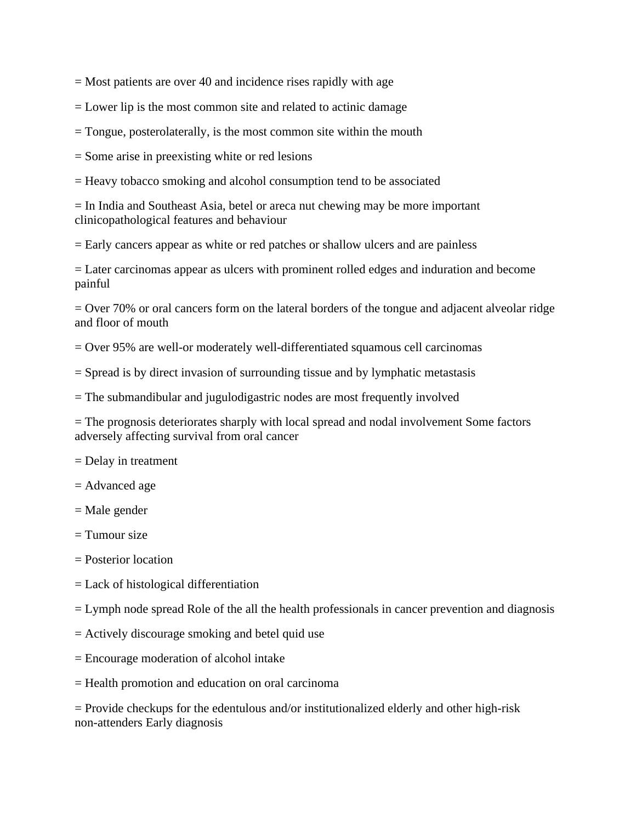$=$  Most patients are over 40 and incidence rises rapidly with age

= Lower lip is the most common site and related to actinic damage

= Tongue, posterolaterally, is the most common site within the mouth

= Some arise in preexisting white or red lesions

= Heavy tobacco smoking and alcohol consumption tend to be associated

= In India and Southeast Asia, betel or areca nut chewing may be more important clinicopathological features and behaviour

= Early cancers appear as white or red patches or shallow ulcers and are painless

= Later carcinomas appear as ulcers with prominent rolled edges and induration and become painful

= Over 70% or oral cancers form on the lateral borders of the tongue and adjacent alveolar ridge and floor of mouth

= Over 95% are well-or moderately well-differentiated squamous cell carcinomas

= Spread is by direct invasion of surrounding tissue and by lymphatic metastasis

= The submandibular and jugulodigastric nodes are most frequently involved

= The prognosis deteriorates sharply with local spread and nodal involvement Some factors adversely affecting survival from oral cancer

= Delay in treatment

= Advanced age

= Male gender

 $=$  Tumour size

= Posterior location

- = Lack of histological differentiation
- = Lymph node spread Role of the all the health professionals in cancer prevention and diagnosis
- = Actively discourage smoking and betel quid use
- = Encourage moderation of alcohol intake
- = Health promotion and education on oral carcinoma

= Provide checkups for the edentulous and/or institutionalized elderly and other high-risk non-attenders Early diagnosis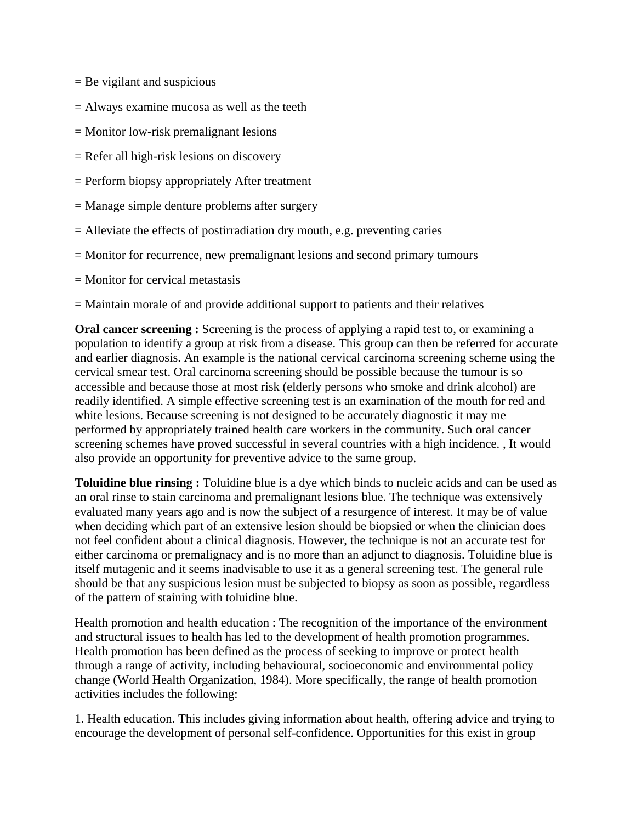- $=$  Be vigilant and suspicious
- = Always examine mucosa as well as the teeth
- = Monitor low-risk premalignant lesions
- = Refer all high-risk lesions on discovery
- = Perform biopsy appropriately After treatment
- = Manage simple denture problems after surgery
- = Alleviate the effects of postirradiation dry mouth, e.g. preventing caries
- = Monitor for recurrence, new premalignant lesions and second primary tumours
- $=$  Monitor for cervical metastasis
- = Maintain morale of and provide additional support to patients and their relatives

**Oral cancer screening :** Screening is the process of applying a rapid test to, or examining a population to identify a group at risk from a disease. This group can then be referred for accurate and earlier diagnosis. An example is the national cervical carcinoma screening scheme using the cervical smear test. Oral carcinoma screening should be possible because the tumour is so accessible and because those at most risk (elderly persons who smoke and drink alcohol) are readily identified. A simple effective screening test is an examination of the mouth for red and white lesions. Because screening is not designed to be accurately diagnostic it may me performed by appropriately trained health care workers in the community. Such oral cancer screening schemes have proved successful in several countries with a high incidence. , It would also provide an opportunity for preventive advice to the same group.

**Toluidine blue rinsing :** Toluidine blue is a dye which binds to nucleic acids and can be used as an oral rinse to stain carcinoma and premalignant lesions blue. The technique was extensively evaluated many years ago and is now the subject of a resurgence of interest. It may be of value when deciding which part of an extensive lesion should be biopsied or when the clinician does not feel confident about a clinical diagnosis. However, the technique is not an accurate test for either carcinoma or premalignacy and is no more than an adjunct to diagnosis. Toluidine blue is itself mutagenic and it seems inadvisable to use it as a general screening test. The general rule should be that any suspicious lesion must be subjected to biopsy as soon as possible, regardless of the pattern of staining with toluidine blue.

Health promotion and health education : The recognition of the importance of the environment and structural issues to health has led to the development of health promotion programmes. Health promotion has been defined as the process of seeking to improve or protect health through a range of activity, including behavioural, socioeconomic and environmental policy change (World Health Organization, 1984). More specifically, the range of health promotion activities includes the following:

1. Health education. This includes giving information about health, offering advice and trying to encourage the development of personal self-confidence. Opportunities for this exist in group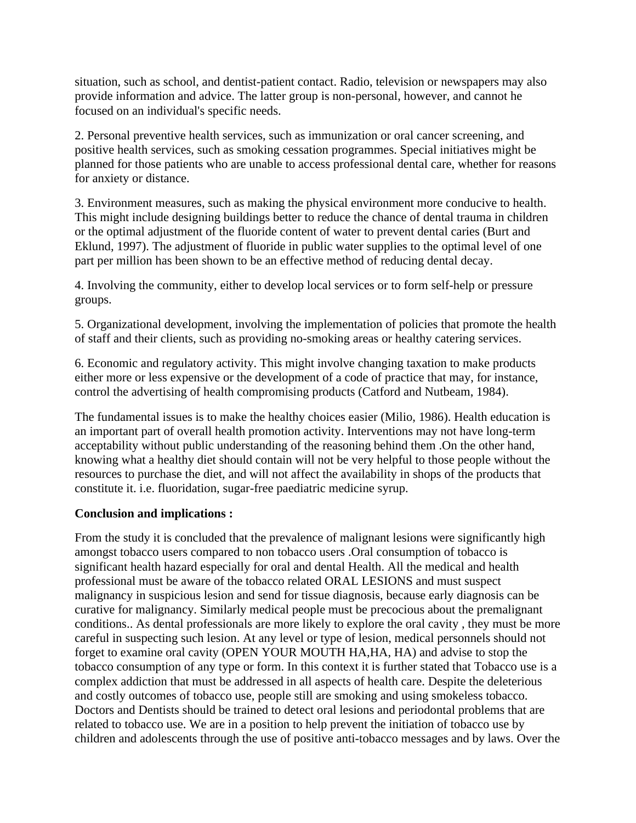situation, such as school, and dentist-patient contact. Radio, television or newspapers may also provide information and advice. The latter group is non-personal, however, and cannot he focused on an individual's specific needs.

2. Personal preventive health services, such as immunization or oral cancer screening, and positive health services, such as smoking cessation programmes. Special initiatives might be planned for those patients who are unable to access professional dental care, whether for reasons for anxiety or distance.

3. Environment measures, such as making the physical environment more conducive to health. This might include designing buildings better to reduce the chance of dental trauma in children or the optimal adjustment of the fluoride content of water to prevent dental caries (Burt and Eklund, 1997). The adjustment of fluoride in public water supplies to the optimal level of one part per million has been shown to be an effective method of reducing dental decay.

4. Involving the community, either to develop local services or to form self-help or pressure groups.

5. Organizational development, involving the implementation of policies that promote the health of staff and their clients, such as providing no-smoking areas or healthy catering services.

6. Economic and regulatory activity. This might involve changing taxation to make products either more or less expensive or the development of a code of practice that may, for instance, control the advertising of health compromising products (Catford and Nutbeam, 1984).

The fundamental issues is to make the healthy choices easier (Milio, 1986). Health education is an important part of overall health promotion activity. Interventions may not have long-term acceptability without public understanding of the reasoning behind them .On the other hand, knowing what a healthy diet should contain will not be very helpful to those people without the resources to purchase the diet, and will not affect the availability in shops of the products that constitute it. i.e. fluoridation, sugar-free paediatric medicine syrup.

### **Conclusion and implications :**

From the study it is concluded that the prevalence of malignant lesions were significantly high amongst tobacco users compared to non tobacco users .Oral consumption of tobacco is significant health hazard especially for oral and dental Health. All the medical and health professional must be aware of the tobacco related ORAL LESIONS and must suspect malignancy in suspicious lesion and send for tissue diagnosis, because early diagnosis can be curative for malignancy. Similarly medical people must be precocious about the premalignant conditions.. As dental professionals are more likely to explore the oral cavity , they must be more careful in suspecting such lesion. At any level or type of lesion, medical personnels should not forget to examine oral cavity (OPEN YOUR MOUTH HA,HA, HA) and advise to stop the tobacco consumption of any type or form. In this context it is further stated that Tobacco use is a complex addiction that must be addressed in all aspects of health care. Despite the deleterious and costly outcomes of tobacco use, people still are smoking and using smokeless tobacco. Doctors and Dentists should be trained to detect oral lesions and periodontal problems that are related to tobacco use. We are in a position to help prevent the initiation of tobacco use by children and adolescents through the use of positive anti-tobacco messages and by laws. Over the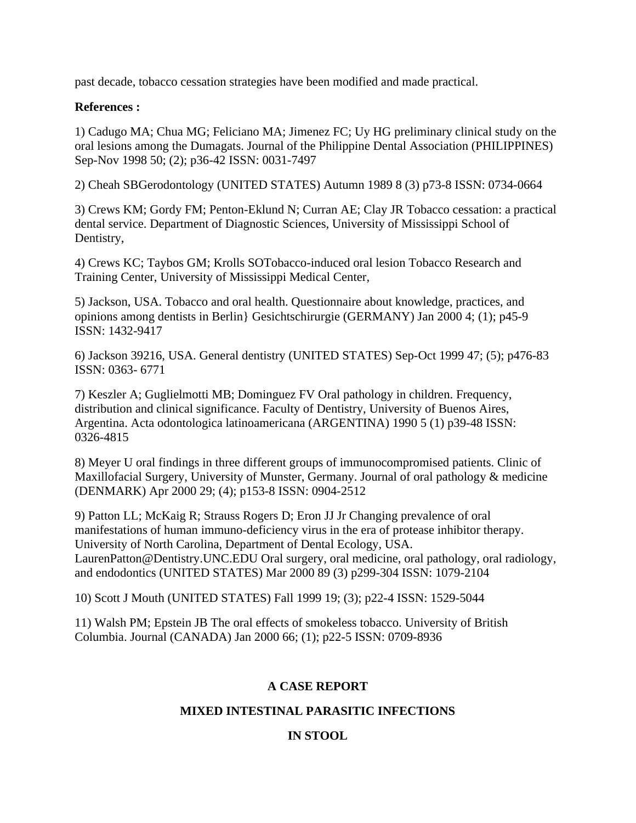past decade, tobacco cessation strategies have been modified and made practical.

#### **References :**

1) Cadugo MA; Chua MG; Feliciano MA; Jimenez FC; Uy HG preliminary clinical study on the oral lesions among the Dumagats. Journal of the Philippine Dental Association (PHILIPPINES) Sep-Nov 1998 50; (2); p36-42 ISSN: 0031-7497

2) Cheah SBGerodontology (UNITED STATES) Autumn 1989 8 (3) p73-8 ISSN: 0734-0664

3) Crews KM; Gordy FM; Penton-Eklund N; Curran AE; Clay JR Tobacco cessation: a practical dental service. Department of Diagnostic Sciences, University of Mississippi School of Dentistry,

4) Crews KC; Taybos GM; Krolls SOTobacco-induced oral lesion Tobacco Research and Training Center, University of Mississippi Medical Center,

5) Jackson, USA. Tobacco and oral health. Questionnaire about knowledge, practices, and opinions among dentists in Berlin} Gesichtschirurgie (GERMANY) Jan 2000 4; (1); p45-9 ISSN: 1432-9417

6) Jackson 39216, USA. General dentistry (UNITED STATES) Sep-Oct 1999 47; (5); p476-83 ISSN: 0363- 6771

7) Keszler A; Guglielmotti MB; Dominguez FV Oral pathology in children. Frequency, distribution and clinical significance. Faculty of Dentistry, University of Buenos Aires, Argentina. Acta odontologica latinoamericana (ARGENTINA) 1990 5 (1) p39-48 ISSN: 0326-4815

8) Meyer U oral findings in three different groups of immunocompromised patients. Clinic of Maxillofacial Surgery, University of Munster, Germany. Journal of oral pathology & medicine (DENMARK) Apr 2000 29; (4); p153-8 ISSN: 0904-2512

9) Patton LL; McKaig R; Strauss Rogers D; Eron JJ Jr Changing prevalence of oral manifestations of human immuno-deficiency virus in the era of protease inhibitor therapy. University of North Carolina, Department of Dental Ecology, USA. LaurenPatton@Dentistry.UNC.EDU Oral surgery, oral medicine, oral pathology, oral radiology, and endodontics (UNITED STATES) Mar 2000 89 (3) p299-304 ISSN: 1079-2104

10) Scott J Mouth (UNITED STATES) Fall 1999 19; (3); p22-4 ISSN: 1529-5044

11) Walsh PM; Epstein JB The oral effects of smokeless tobacco. University of British Columbia. Journal (CANADA) Jan 2000 66; (1); p22-5 ISSN: 0709-8936

### **A CASE REPORT**

### **MIXED INTESTINAL PARASITIC INFECTIONS**

### **IN STOOL**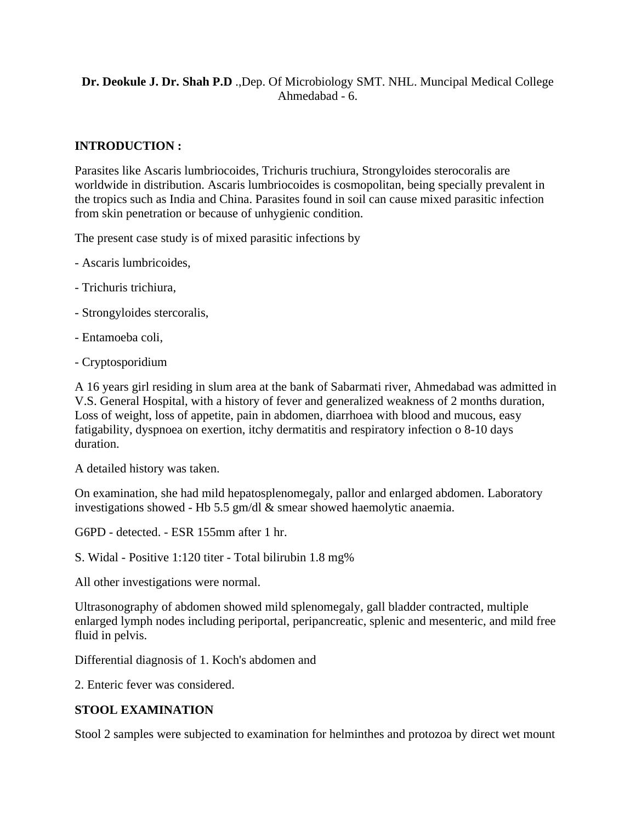# **Dr. Deokule J. Dr. Shah P.D** .,Dep. Of Microbiology SMT. NHL. Muncipal Medical College Ahmedabad - 6.

## **INTRODUCTION :**

Parasites like Ascaris lumbriocoides, Trichuris truchiura, Strongyloides sterocoralis are worldwide in distribution. Ascaris lumbriocoides is cosmopolitan, being specially prevalent in the tropics such as India and China. Parasites found in soil can cause mixed parasitic infection from skin penetration or because of unhygienic condition.

The present case study is of mixed parasitic infections by

- Ascaris lumbricoides,
- Trichuris trichiura,
- Strongyloides stercoralis,
- Entamoeba coli,
- Cryptosporidium

A 16 years girl residing in slum area at the bank of Sabarmati river, Ahmedabad was admitted in V.S. General Hospital, with a history of fever and generalized weakness of 2 months duration, Loss of weight, loss of appetite, pain in abdomen, diarrhoea with blood and mucous, easy fatigability, dyspnoea on exertion, itchy dermatitis and respiratory infection o 8-10 days duration.

A detailed history was taken.

On examination, she had mild hepatosplenomegaly, pallor and enlarged abdomen. Laboratory investigations showed - Hb 5.5 gm/dl & smear showed haemolytic anaemia.

G6PD - detected. - ESR 155mm after 1 hr.

S. Widal - Positive 1:120 titer - Total bilirubin 1.8 mg%

All other investigations were normal.

Ultrasonography of abdomen showed mild splenomegaly, gall bladder contracted, multiple enlarged lymph nodes including periportal, peripancreatic, splenic and mesenteric, and mild free fluid in pelvis.

Differential diagnosis of 1. Koch's abdomen and

2. Enteric fever was considered.

### **STOOL EXAMINATION**

Stool 2 samples were subjected to examination for helminthes and protozoa by direct wet mount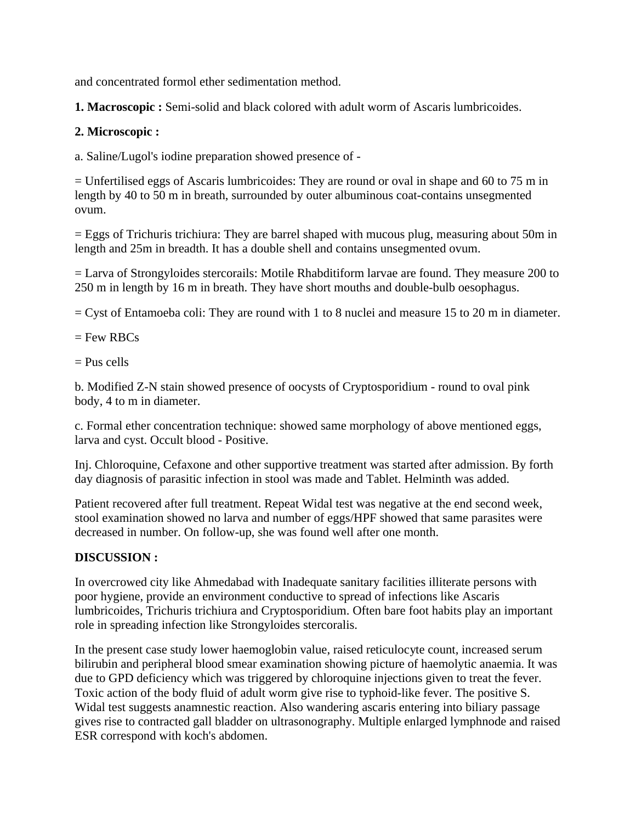and concentrated formol ether sedimentation method.

**1. Macroscopic :** Semi-solid and black colored with adult worm of Ascaris lumbricoides.

### **2. Microscopic :**

a. Saline/Lugol's iodine preparation showed presence of -

 $=$  Unfertilised eggs of Ascaris lumbricoides: They are round or oval in shape and 60 to 75 m in length by 40 to 50 m in breath, surrounded by outer albuminous coat-contains unsegmented ovum.

= Eggs of Trichuris trichiura: They are barrel shaped with mucous plug, measuring about 50m in length and 25m in breadth. It has a double shell and contains unsegmented ovum.

= Larva of Strongyloides stercorails: Motile Rhabditiform larvae are found. They measure 200 to 250 m in length by 16 m in breath. They have short mouths and double-bulb oesophagus.

 $=$  Cyst of Entamoeba coli: They are round with 1 to 8 nuclei and measure 15 to 20 m in diameter.

 $=$  Few RBCs

 $=$  Pus cells

b. Modified Z-N stain showed presence of oocysts of Cryptosporidium - round to oval pink body, 4 to m in diameter.

c. Formal ether concentration technique: showed same morphology of above mentioned eggs, larva and cyst. Occult blood - Positive.

Inj. Chloroquine, Cefaxone and other supportive treatment was started after admission. By forth day diagnosis of parasitic infection in stool was made and Tablet. Helminth was added.

Patient recovered after full treatment. Repeat Widal test was negative at the end second week, stool examination showed no larva and number of eggs/HPF showed that same parasites were decreased in number. On follow-up, she was found well after one month.

### **DISCUSSION :**

In overcrowed city like Ahmedabad with Inadequate sanitary facilities illiterate persons with poor hygiene, provide an environment conductive to spread of infections like Ascaris lumbricoides, Trichuris trichiura and Cryptosporidium. Often bare foot habits play an important role in spreading infection like Strongyloides stercoralis.

In the present case study lower haemoglobin value, raised reticulocyte count, increased serum bilirubin and peripheral blood smear examination showing picture of haemolytic anaemia. It was due to GPD deficiency which was triggered by chloroquine injections given to treat the fever. Toxic action of the body fluid of adult worm give rise to typhoid-like fever. The positive S. Widal test suggests anamnestic reaction. Also wandering ascaris entering into biliary passage gives rise to contracted gall bladder on ultrasonography. Multiple enlarged lymphnode and raised ESR correspond with koch's abdomen.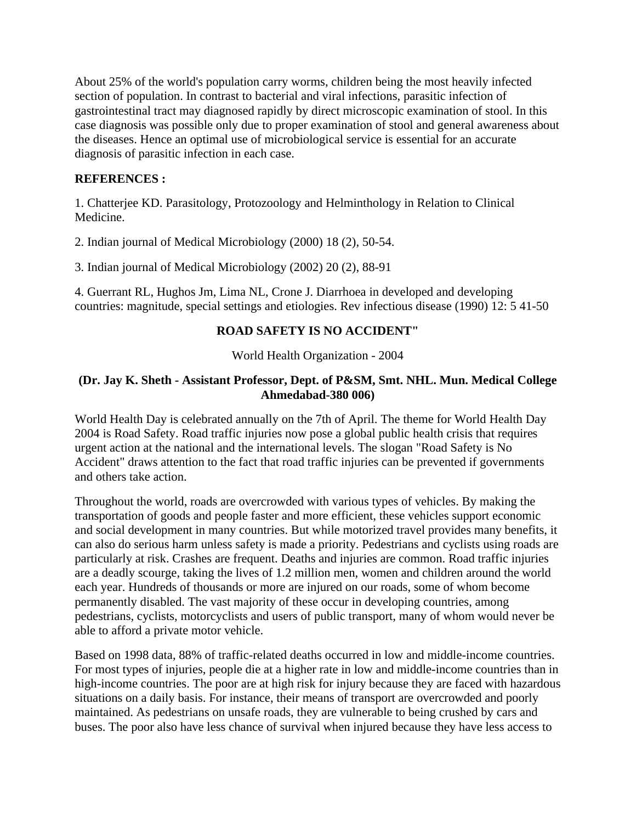About 25% of the world's population carry worms, children being the most heavily infected section of population. In contrast to bacterial and viral infections, parasitic infection of gastrointestinal tract may diagnosed rapidly by direct microscopic examination of stool. In this case diagnosis was possible only due to proper examination of stool and general awareness about the diseases. Hence an optimal use of microbiological service is essential for an accurate diagnosis of parasitic infection in each case.

### **REFERENCES :**

1. Chatterjee KD. Parasitology, Protozoology and Helminthology in Relation to Clinical Medicine.

2. Indian journal of Medical Microbiology (2000) 18 (2), 50-54.

3. Indian journal of Medical Microbiology (2002) 20 (2), 88-91

4. Guerrant RL, Hughos Jm, Lima NL, Crone J. Diarrhoea in developed and developing countries: magnitude, special settings and etiologies. Rev infectious disease (1990) 12: 5 41-50

### **ROAD SAFETY IS NO ACCIDENT"**

World Health Organization - 2004

### **(Dr. Jay K. Sheth - Assistant Professor, Dept. of P&SM, Smt. NHL. Mun. Medical College Ahmedabad-380 006)**

World Health Day is celebrated annually on the 7th of April. The theme for World Health Day 2004 is Road Safety. Road traffic injuries now pose a global public health crisis that requires urgent action at the national and the international levels. The slogan "Road Safety is No Accident" draws attention to the fact that road traffic injuries can be prevented if governments and others take action.

Throughout the world, roads are overcrowded with various types of vehicles. By making the transportation of goods and people faster and more efficient, these vehicles support economic and social development in many countries. But while motorized travel provides many benefits, it can also do serious harm unless safety is made a priority. Pedestrians and cyclists using roads are particularly at risk. Crashes are frequent. Deaths and injuries are common. Road traffic injuries are a deadly scourge, taking the lives of 1.2 million men, women and children around the world each year. Hundreds of thousands or more are injured on our roads, some of whom become permanently disabled. The vast majority of these occur in developing countries, among pedestrians, cyclists, motorcyclists and users of public transport, many of whom would never be able to afford a private motor vehicle.

Based on 1998 data, 88% of traffic-related deaths occurred in low and middle-income countries. For most types of injuries, people die at a higher rate in low and middle-income countries than in high-income countries. The poor are at high risk for injury because they are faced with hazardous situations on a daily basis. For instance, their means of transport are overcrowded and poorly maintained. As pedestrians on unsafe roads, they are vulnerable to being crushed by cars and buses. The poor also have less chance of survival when injured because they have less access to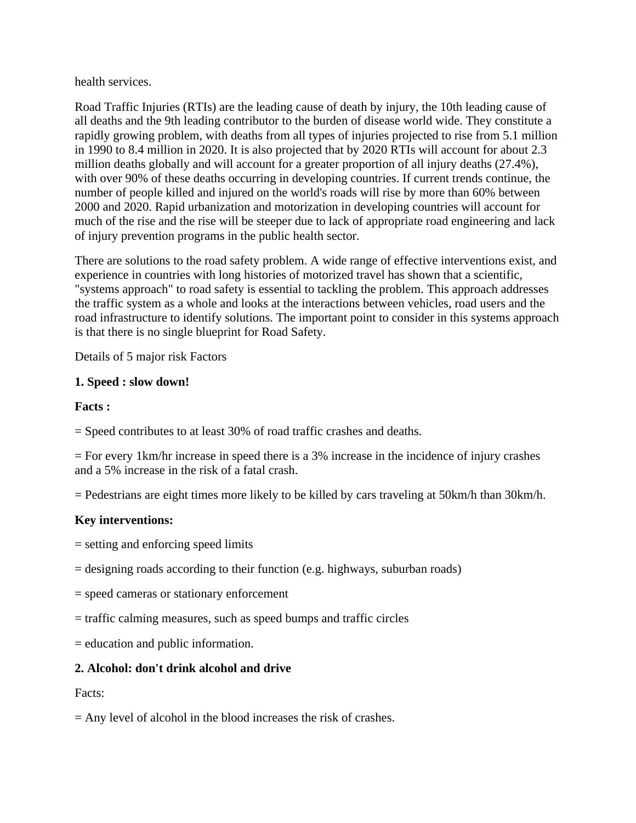health services.

Road Traffic Injuries (RTIs) are the leading cause of death by injury, the 10th leading cause of all deaths and the 9th leading contributor to the burden of disease world wide. They constitute a rapidly growing problem, with deaths from all types of injuries projected to rise from 5.1 million in 1990 to 8.4 million in 2020. It is also projected that by 2020 RTIs will account for about 2.3 million deaths globally and will account for a greater proportion of all injury deaths (27.4%), with over 90% of these deaths occurring in developing countries. If current trends continue, the number of people killed and injured on the world's roads will rise by more than 60% between 2000 and 2020. Rapid urbanization and motorization in developing countries will account for much of the rise and the rise will be steeper due to lack of appropriate road engineering and lack of injury prevention programs in the public health sector.

There are solutions to the road safety problem. A wide range of effective interventions exist, and experience in countries with long histories of motorized travel has shown that a scientific, "systems approach" to road safety is essential to tackling the problem. This approach addresses the traffic system as a whole and looks at the interactions between vehicles, road users and the road infrastructure to identify solutions. The important point to consider in this systems approach is that there is no single blueprint for Road Safety.

Details of 5 major risk Factors

# **1. Speed : slow down!**

# **Facts :**

= Speed contributes to at least 30% of road traffic crashes and deaths.

= For every 1km/hr increase in speed there is a 3% increase in the incidence of injury crashes and a 5% increase in the risk of a fatal crash.

= Pedestrians are eight times more likely to be killed by cars traveling at 50km/h than 30km/h.

# **Key interventions:**

= setting and enforcing speed limits

- = designing roads according to their function (e.g. highways, suburban roads)
- = speed cameras or stationary enforcement
- = traffic calming measures, such as speed bumps and traffic circles

= education and public information.

# **2. Alcohol: don't drink alcohol and drive**

Facts:

= Any level of alcohol in the blood increases the risk of crashes.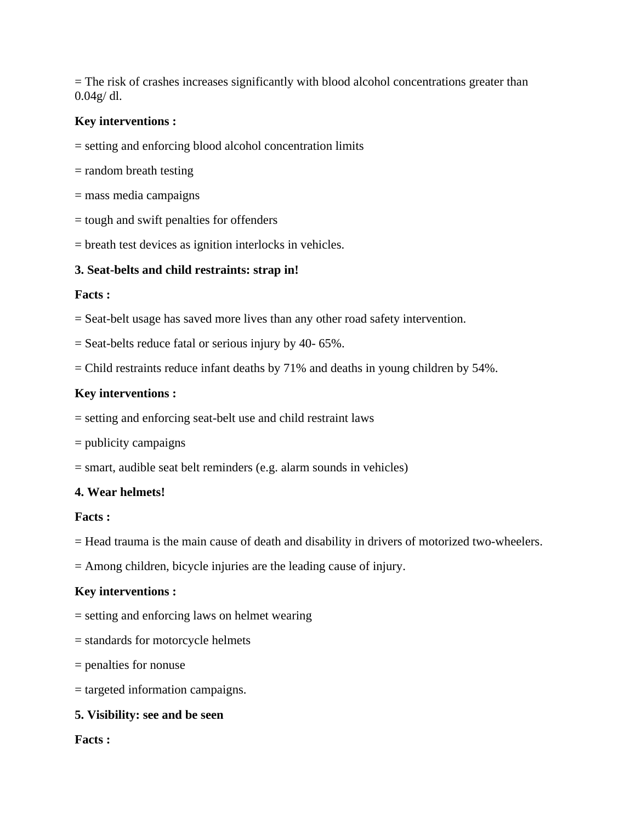= The risk of crashes increases significantly with blood alcohol concentrations greater than 0.04g/ dl.

### **Key interventions :**

- = setting and enforcing blood alcohol concentration limits
- = random breath testing
- = mass media campaigns
- = tough and swift penalties for offenders
- = breath test devices as ignition interlocks in vehicles.

### **3. Seat-belts and child restraints: strap in!**

#### **Facts :**

- = Seat-belt usage has saved more lives than any other road safety intervention.
- = Seat-belts reduce fatal or serious injury by 40- 65%.
- = Child restraints reduce infant deaths by 71% and deaths in young children by 54%.

### **Key interventions :**

- = setting and enforcing seat-belt use and child restraint laws
- = publicity campaigns
- = smart, audible seat belt reminders (e.g. alarm sounds in vehicles)

#### **4. Wear helmets!**

#### **Facts :**

= Head trauma is the main cause of death and disability in drivers of motorized two-wheelers.

= Among children, bicycle injuries are the leading cause of injury.

#### **Key interventions :**

- = setting and enforcing laws on helmet wearing
- = standards for motorcycle helmets
- = penalties for nonuse
- = targeted information campaigns.

### **5. Visibility: see and be seen**

#### **Facts :**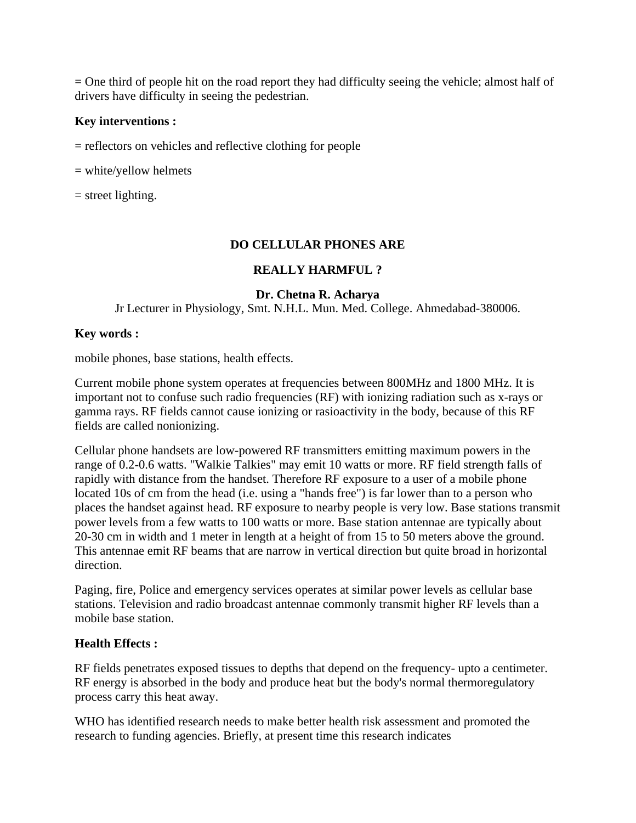= One third of people hit on the road report they had difficulty seeing the vehicle; almost half of drivers have difficulty in seeing the pedestrian.

### **Key interventions :**

= reflectors on vehicles and reflective clothing for people

= white/yellow helmets

 $=$  street lighting.

### **DO CELLULAR PHONES ARE**

### **REALLY HARMFUL ?**

### **Dr. Chetna R. Acharya**

Jr Lecturer in Physiology, Smt. N.H.L. Mun. Med. College. Ahmedabad-380006.

### **Key words :**

mobile phones, base stations, health effects.

Current mobile phone system operates at frequencies between 800MHz and 1800 MHz. It is important not to confuse such radio frequencies (RF) with ionizing radiation such as x-rays or gamma rays. RF fields cannot cause ionizing or rasioactivity in the body, because of this RF fields are called nonionizing.

Cellular phone handsets are low-powered RF transmitters emitting maximum powers in the range of 0.2-0.6 watts. "Walkie Talkies" may emit 10 watts or more. RF field strength falls of rapidly with distance from the handset. Therefore RF exposure to a user of a mobile phone located 10s of cm from the head (i.e. using a "hands free") is far lower than to a person who places the handset against head. RF exposure to nearby people is very low. Base stations transmit power levels from a few watts to 100 watts or more. Base station antennae are typically about 20-30 cm in width and 1 meter in length at a height of from 15 to 50 meters above the ground. This antennae emit RF beams that are narrow in vertical direction but quite broad in horizontal direction.

Paging, fire, Police and emergency services operates at similar power levels as cellular base stations. Television and radio broadcast antennae commonly transmit higher RF levels than a mobile base station.

#### **Health Effects :**

RF fields penetrates exposed tissues to depths that depend on the frequency- upto a centimeter. RF energy is absorbed in the body and produce heat but the body's normal thermoregulatory process carry this heat away.

WHO has identified research needs to make better health risk assessment and promoted the research to funding agencies. Briefly, at present time this research indicates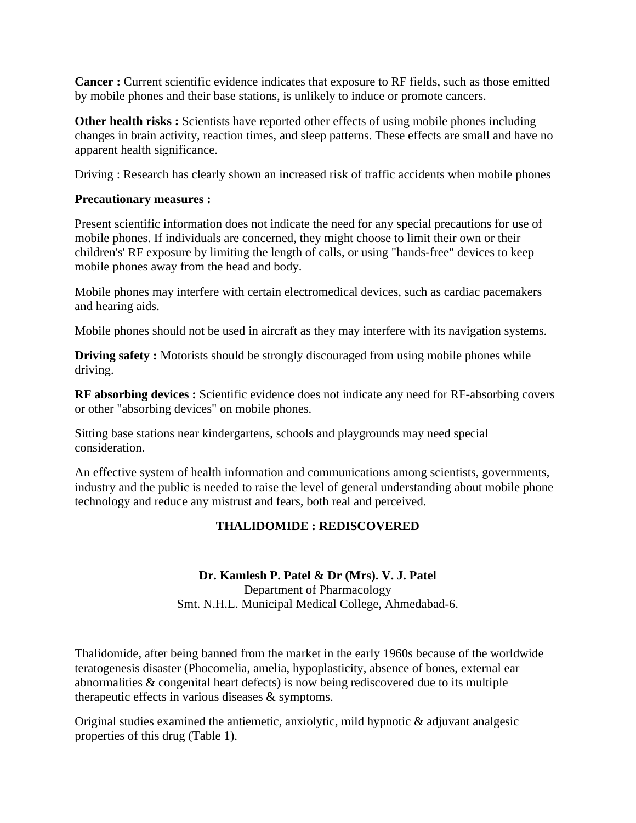**Cancer :** Current scientific evidence indicates that exposure to RF fields, such as those emitted by mobile phones and their base stations, is unlikely to induce or promote cancers.

**Other health risks :** Scientists have reported other effects of using mobile phones including changes in brain activity, reaction times, and sleep patterns. These effects are small and have no apparent health significance.

Driving : Research has clearly shown an increased risk of traffic accidents when mobile phones

#### **Precautionary measures :**

Present scientific information does not indicate the need for any special precautions for use of mobile phones. If individuals are concerned, they might choose to limit their own or their children's' RF exposure by limiting the length of calls, or using "hands-free" devices to keep mobile phones away from the head and body.

Mobile phones may interfere with certain electromedical devices, such as cardiac pacemakers and hearing aids.

Mobile phones should not be used in aircraft as they may interfere with its navigation systems.

**Driving safety :** Motorists should be strongly discouraged from using mobile phones while driving.

**RF absorbing devices :** Scientific evidence does not indicate any need for RF-absorbing covers or other "absorbing devices" on mobile phones.

Sitting base stations near kindergartens, schools and playgrounds may need special consideration.

An effective system of health information and communications among scientists, governments, industry and the public is needed to raise the level of general understanding about mobile phone technology and reduce any mistrust and fears, both real and perceived.

### **THALIDOMIDE : REDISCOVERED**

#### **Dr. Kamlesh P. Patel & Dr (Mrs). V. J. Patel**

Department of Pharmacology Smt. N.H.L. Municipal Medical College, Ahmedabad-6.

Thalidomide, after being banned from the market in the early 1960s because of the worldwide teratogenesis disaster (Phocomelia, amelia, hypoplasticity, absence of bones, external ear abnormalities & congenital heart defects) is now being rediscovered due to its multiple therapeutic effects in various diseases & symptoms.

Original studies examined the antiemetic, anxiolytic, mild hypnotic & adjuvant analgesic properties of this drug (Table 1).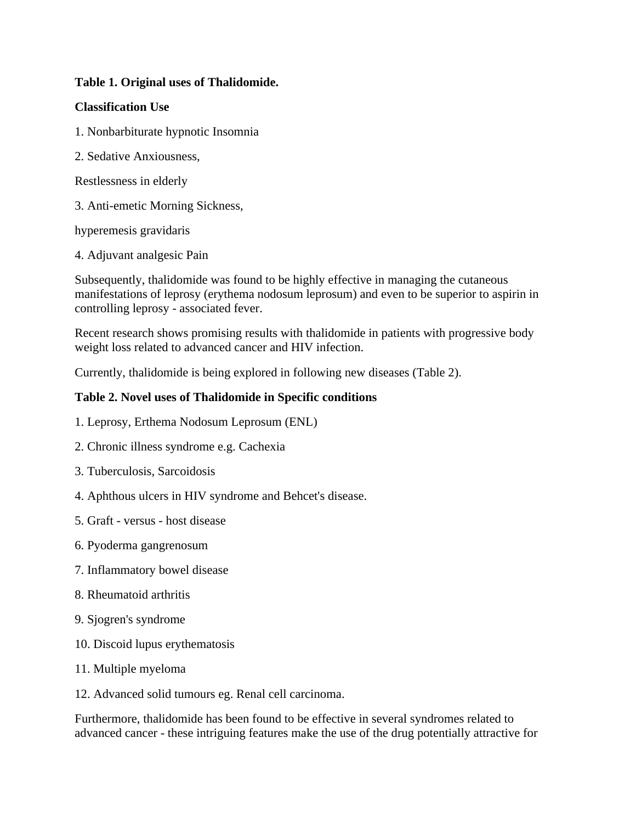### **Table 1. Original uses of Thalidomide.**

### **Classification Use**

- 1. Nonbarbiturate hypnotic Insomnia
- 2. Sedative Anxiousness,
- Restlessness in elderly
- 3. Anti-emetic Morning Sickness,

hyperemesis gravidaris

4. Adjuvant analgesic Pain

Subsequently, thalidomide was found to be highly effective in managing the cutaneous manifestations of leprosy (erythema nodosum leprosum) and even to be superior to aspirin in controlling leprosy - associated fever.

Recent research shows promising results with thalidomide in patients with progressive body weight loss related to advanced cancer and HIV infection.

Currently, thalidomide is being explored in following new diseases (Table 2).

### **Table 2. Novel uses of Thalidomide in Specific conditions**

- 1. Leprosy, Erthema Nodosum Leprosum (ENL)
- 2. Chronic illness syndrome e.g. Cachexia
- 3. Tuberculosis, Sarcoidosis
- 4. Aphthous ulcers in HIV syndrome and Behcet's disease.
- 5. Graft versus host disease
- 6. Pyoderma gangrenosum
- 7. Inflammatory bowel disease
- 8. Rheumatoid arthritis
- 9. Sjogren's syndrome
- 10. Discoid lupus erythematosis
- 11. Multiple myeloma
- 12. Advanced solid tumours eg. Renal cell carcinoma.

Furthermore, thalidomide has been found to be effective in several syndromes related to advanced cancer - these intriguing features make the use of the drug potentially attractive for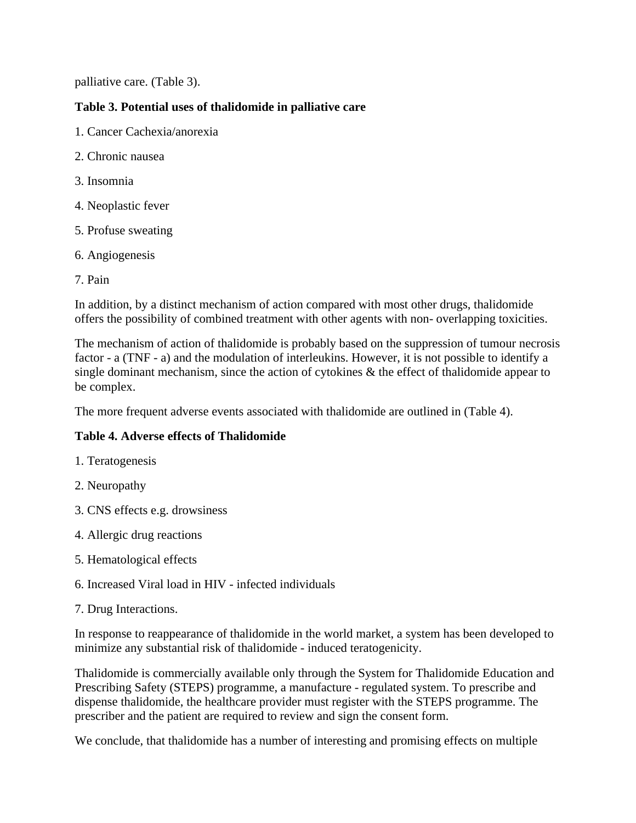palliative care. (Table 3).

# **Table 3. Potential uses of thalidomide in palliative care**

- 1. Cancer Cachexia/anorexia
- 2. Chronic nausea
- 3. Insomnia
- 4. Neoplastic fever
- 5. Profuse sweating
- 6. Angiogenesis
- 7. Pain

In addition, by a distinct mechanism of action compared with most other drugs, thalidomide offers the possibility of combined treatment with other agents with non- overlapping toxicities.

The mechanism of action of thalidomide is probably based on the suppression of tumour necrosis factor - a (TNF - a) and the modulation of interleukins. However, it is not possible to identify a single dominant mechanism, since the action of cytokines  $\&$  the effect of thalidomide appear to be complex.

The more frequent adverse events associated with thalidomide are outlined in (Table 4).

### **Table 4. Adverse effects of Thalidomide**

- 1. Teratogenesis
- 2. Neuropathy
- 3. CNS effects e.g. drowsiness
- 4. Allergic drug reactions
- 5. Hematological effects
- 6. Increased Viral load in HIV infected individuals
- 7. Drug Interactions.

In response to reappearance of thalidomide in the world market, a system has been developed to minimize any substantial risk of thalidomide - induced teratogenicity.

Thalidomide is commercially available only through the System for Thalidomide Education and Prescribing Safety (STEPS) programme, a manufacture - regulated system. To prescribe and dispense thalidomide, the healthcare provider must register with the STEPS programme. The prescriber and the patient are required to review and sign the consent form.

We conclude, that thalidomide has a number of interesting and promising effects on multiple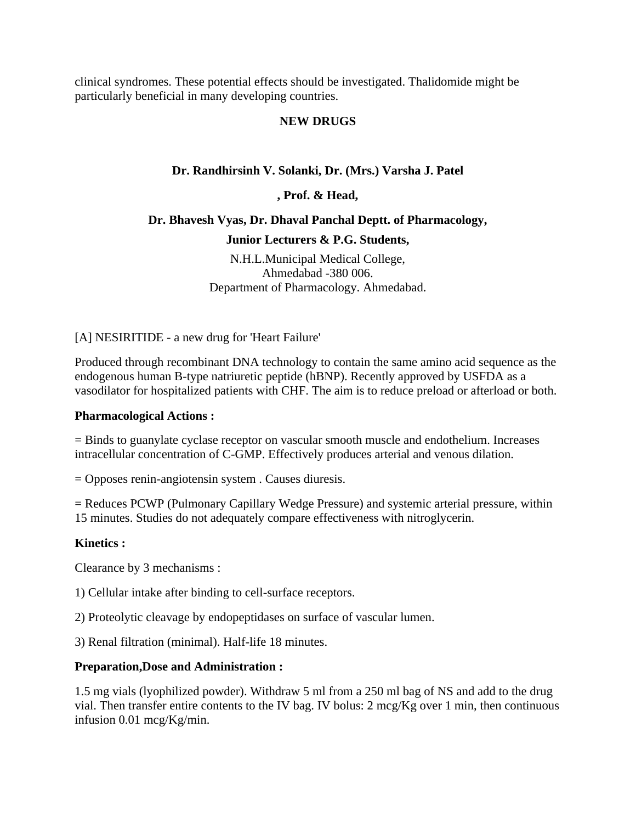clinical syndromes. These potential effects should be investigated. Thalidomide might be particularly beneficial in many developing countries.

### **NEW DRUGS**

# **Dr. Randhirsinh V. Solanki, Dr. (Mrs.) Varsha J. Patel**

**, Prof. & Head,** 

# **Dr. Bhavesh Vyas, Dr. Dhaval Panchal Deptt. of Pharmacology, Junior Lecturers & P.G. Students,**

N.H.L.Municipal Medical College, Ahmedabad -380 006. Department of Pharmacology. Ahmedabad.

[A] NESIRITIDE - a new drug for 'Heart Failure'

Produced through recombinant DNA technology to contain the same amino acid sequence as the endogenous human B-type natriuretic peptide (hBNP). Recently approved by USFDA as a vasodilator for hospitalized patients with CHF. The aim is to reduce preload or afterload or both.

### **Pharmacological Actions :**

= Binds to guanylate cyclase receptor on vascular smooth muscle and endothelium. Increases intracellular concentration of C-GMP. Effectively produces arterial and venous dilation.

= Opposes renin-angiotensin system . Causes diuresis.

= Reduces PCWP (Pulmonary Capillary Wedge Pressure) and systemic arterial pressure, within 15 minutes. Studies do not adequately compare effectiveness with nitroglycerin.

### **Kinetics :**

Clearance by 3 mechanisms :

1) Cellular intake after binding to cell-surface receptors.

2) Proteolytic cleavage by endopeptidases on surface of vascular lumen.

3) Renal filtration (minimal). Half-life 18 minutes.

### **Preparation,Dose and Administration :**

1.5 mg vials (lyophilized powder). Withdraw 5 ml from a 250 ml bag of NS and add to the drug vial. Then transfer entire contents to the IV bag. IV bolus: 2 mcg/Kg over 1 min, then continuous infusion 0.01 mcg/Kg/min.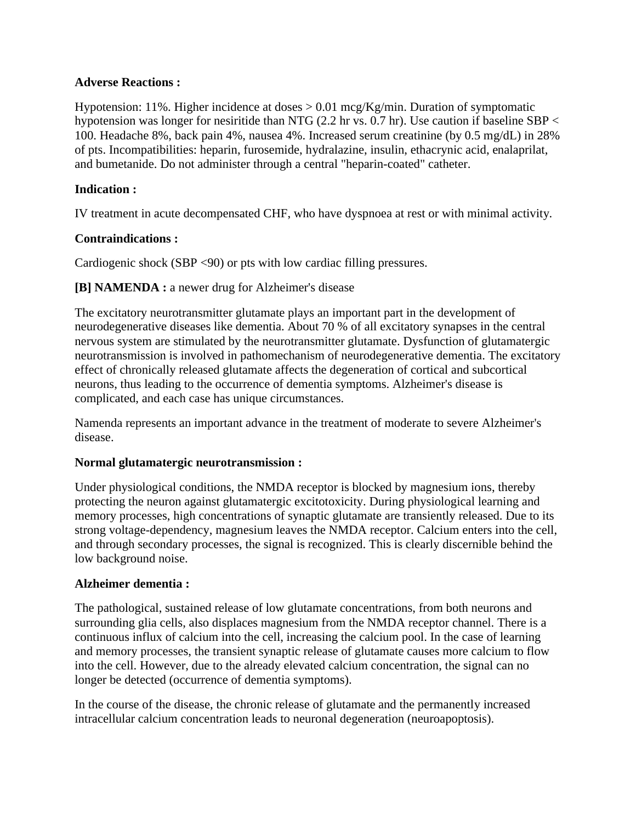### **Adverse Reactions :**

Hypotension: 11%. Higher incidence at doses  $> 0.01$  mcg/Kg/min. Duration of symptomatic hypotension was longer for nesiritide than NTG (2.2 hr vs. 0.7 hr). Use caution if baseline SBP < 100. Headache 8%, back pain 4%, nausea 4%. Increased serum creatinine (by 0.5 mg/dL) in 28% of pts. Incompatibilities: heparin, furosemide, hydralazine, insulin, ethacrynic acid, enalaprilat, and bumetanide. Do not administer through a central "heparin-coated" catheter.

### **Indication :**

IV treatment in acute decompensated CHF, who have dyspnoea at rest or with minimal activity.

### **Contraindications :**

Cardiogenic shock (SBP <90) or pts with low cardiac filling pressures.

### **[B] NAMENDA :** a newer drug for Alzheimer's disease

The excitatory neurotransmitter glutamate plays an important part in the development of neurodegenerative diseases like dementia. About 70 % of all excitatory synapses in the central nervous system are stimulated by the neurotransmitter glutamate. Dysfunction of glutamatergic neurotransmission is involved in pathomechanism of neurodegenerative dementia. The excitatory effect of chronically released glutamate affects the degeneration of cortical and subcortical neurons, thus leading to the occurrence of dementia symptoms. Alzheimer's disease is complicated, and each case has unique circumstances.

Namenda represents an important advance in the treatment of moderate to severe Alzheimer's disease.

### **Normal glutamatergic neurotransmission :**

Under physiological conditions, the NMDA receptor is blocked by magnesium ions, thereby protecting the neuron against glutamatergic excitotoxicity. During physiological learning and memory processes, high concentrations of synaptic glutamate are transiently released. Due to its strong voltage-dependency, magnesium leaves the NMDA receptor. Calcium enters into the cell, and through secondary processes, the signal is recognized. This is clearly discernible behind the low background noise.

### **Alzheimer dementia :**

The pathological, sustained release of low glutamate concentrations, from both neurons and surrounding glia cells, also displaces magnesium from the NMDA receptor channel. There is a continuous influx of calcium into the cell, increasing the calcium pool. In the case of learning and memory processes, the transient synaptic release of glutamate causes more calcium to flow into the cell. However, due to the already elevated calcium concentration, the signal can no longer be detected (occurrence of dementia symptoms).

In the course of the disease, the chronic release of glutamate and the permanently increased intracellular calcium concentration leads to neuronal degeneration (neuroapoptosis).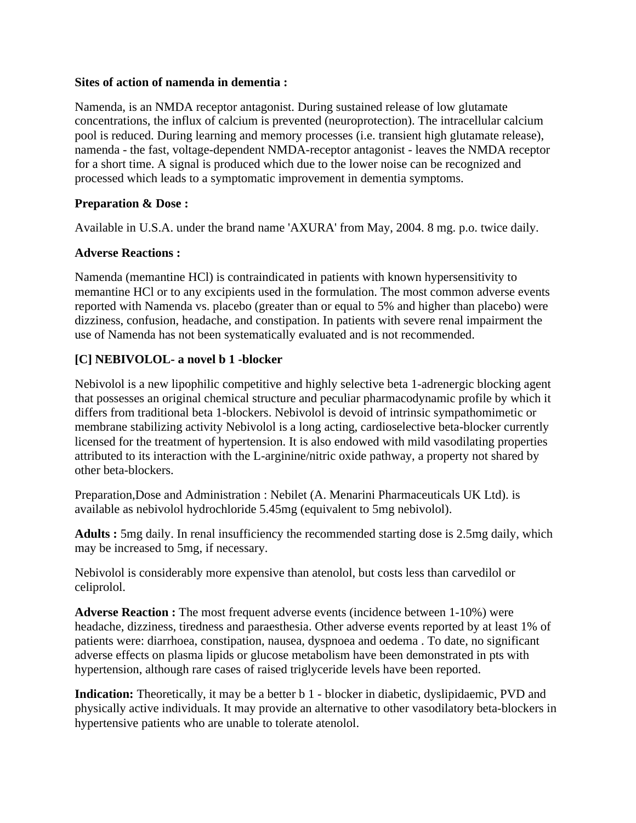#### **Sites of action of namenda in dementia :**

Namenda, is an NMDA receptor antagonist. During sustained release of low glutamate concentrations, the influx of calcium is prevented (neuroprotection). The intracellular calcium pool is reduced. During learning and memory processes (i.e. transient high glutamate release), namenda - the fast, voltage-dependent NMDA-receptor antagonist - leaves the NMDA receptor for a short time. A signal is produced which due to the lower noise can be recognized and processed which leads to a symptomatic improvement in dementia symptoms.

# **Preparation & Dose :**

Available in U.S.A. under the brand name 'AXURA' from May, 2004. 8 mg. p.o. twice daily.

### **Adverse Reactions :**

Namenda (memantine HCl) is contraindicated in patients with known hypersensitivity to memantine HCl or to any excipients used in the formulation. The most common adverse events reported with Namenda vs. placebo (greater than or equal to 5% and higher than placebo) were dizziness, confusion, headache, and constipation. In patients with severe renal impairment the use of Namenda has not been systematically evaluated and is not recommended.

# **[C] NEBIVOLOL- a novel b 1 -blocker**

Nebivolol is a new lipophilic competitive and highly selective beta 1-adrenergic blocking agent that possesses an original chemical structure and peculiar pharmacodynamic profile by which it differs from traditional beta 1-blockers. Nebivolol is devoid of intrinsic sympathomimetic or membrane stabilizing activity Nebivolol is a long acting, cardioselective beta-blocker currently licensed for the treatment of hypertension. It is also endowed with mild vasodilating properties attributed to its interaction with the L-arginine/nitric oxide pathway, a property not shared by other beta-blockers.

Preparation,Dose and Administration : Nebilet (A. Menarini Pharmaceuticals UK Ltd). is available as nebivolol hydrochloride 5.45mg (equivalent to 5mg nebivolol).

**Adults :** 5mg daily. In renal insufficiency the recommended starting dose is 2.5mg daily, which may be increased to 5mg, if necessary.

Nebivolol is considerably more expensive than atenolol, but costs less than carvedilol or celiprolol.

**Adverse Reaction :** The most frequent adverse events (incidence between 1-10%) were headache, dizziness, tiredness and paraesthesia. Other adverse events reported by at least 1% of patients were: diarrhoea, constipation, nausea, dyspnoea and oedema . To date, no significant adverse effects on plasma lipids or glucose metabolism have been demonstrated in pts with hypertension, although rare cases of raised triglyceride levels have been reported.

**Indication:** Theoretically, it may be a better b 1 - blocker in diabetic, dyslipidaemic, PVD and physically active individuals. It may provide an alternative to other vasodilatory beta-blockers in hypertensive patients who are unable to tolerate atenolol.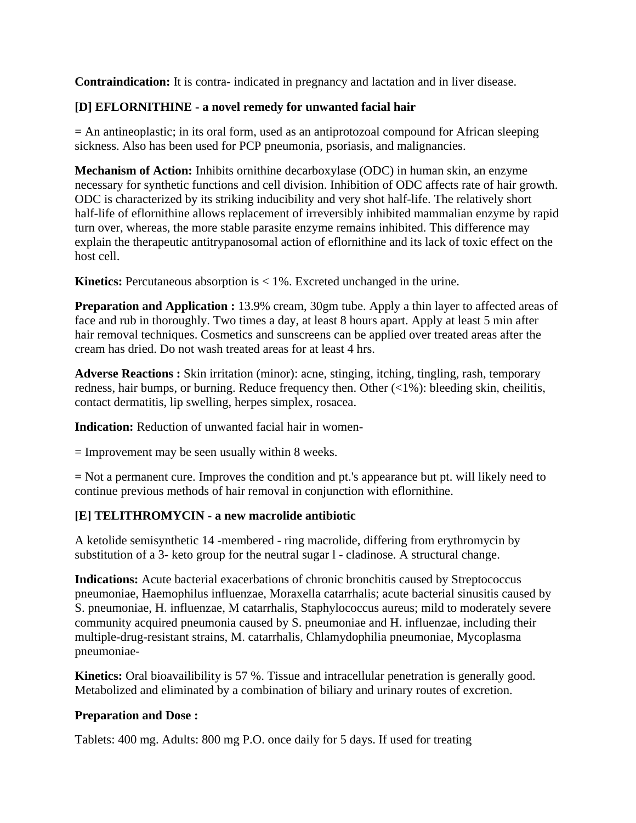**Contraindication:** It is contra- indicated in pregnancy and lactation and in liver disease.

### **[D] EFLORNITHINE - a novel remedy for unwanted facial hair**

= An antineoplastic; in its oral form, used as an antiprotozoal compound for African sleeping sickness. Also has been used for PCP pneumonia, psoriasis, and malignancies.

**Mechanism of Action:** Inhibits ornithine decarboxylase (ODC) in human skin, an enzyme necessary for synthetic functions and cell division. Inhibition of ODC affects rate of hair growth. ODC is characterized by its striking inducibility and very shot half-life. The relatively short half-life of eflornithine allows replacement of irreversibly inhibited mammalian enzyme by rapid turn over, whereas, the more stable parasite enzyme remains inhibited. This difference may explain the therapeutic antitrypanosomal action of eflornithine and its lack of toxic effect on the host cell.

**Kinetics:** Percutaneous absorption is < 1%. Excreted unchanged in the urine.

**Preparation and Application :** 13.9% cream, 30gm tube. Apply a thin layer to affected areas of face and rub in thoroughly. Two times a day, at least 8 hours apart. Apply at least 5 min after hair removal techniques. Cosmetics and sunscreens can be applied over treated areas after the cream has dried. Do not wash treated areas for at least 4 hrs.

**Adverse Reactions :** Skin irritation (minor): acne, stinging, itching, tingling, rash, temporary redness, hair bumps, or burning. Reduce frequency then. Other (<1%): bleeding skin, cheilitis, contact dermatitis, lip swelling, herpes simplex, rosacea.

**Indication:** Reduction of unwanted facial hair in women-

 $=$  Improvement may be seen usually within 8 weeks.

= Not a permanent cure. Improves the condition and pt.'s appearance but pt. will likely need to continue previous methods of hair removal in conjunction with eflornithine.

### **[E] TELITHROMYCIN - a new macrolide antibiotic**

A ketolide semisynthetic 14 -membered - ring macrolide, differing from erythromycin by substitution of a 3- keto group for the neutral sugar l - cladinose. A structural change.

**Indications:** Acute bacterial exacerbations of chronic bronchitis caused by Streptococcus pneumoniae, Haemophilus influenzae, Moraxella catarrhalis; acute bacterial sinusitis caused by S. pneumoniae, H. influenzae, M catarrhalis, Staphylococcus aureus; mild to moderately severe community acquired pneumonia caused by S. pneumoniae and H. influenzae, including their multiple-drug-resistant strains, M. catarrhalis, Chlamydophilia pneumoniae, Mycoplasma pneumoniae-

**Kinetics:** Oral bioavailibility is 57 %. Tissue and intracellular penetration is generally good. Metabolized and eliminated by a combination of biliary and urinary routes of excretion.

### **Preparation and Dose :**

Tablets: 400 mg. Adults: 800 mg P.O. once daily for 5 days. If used for treating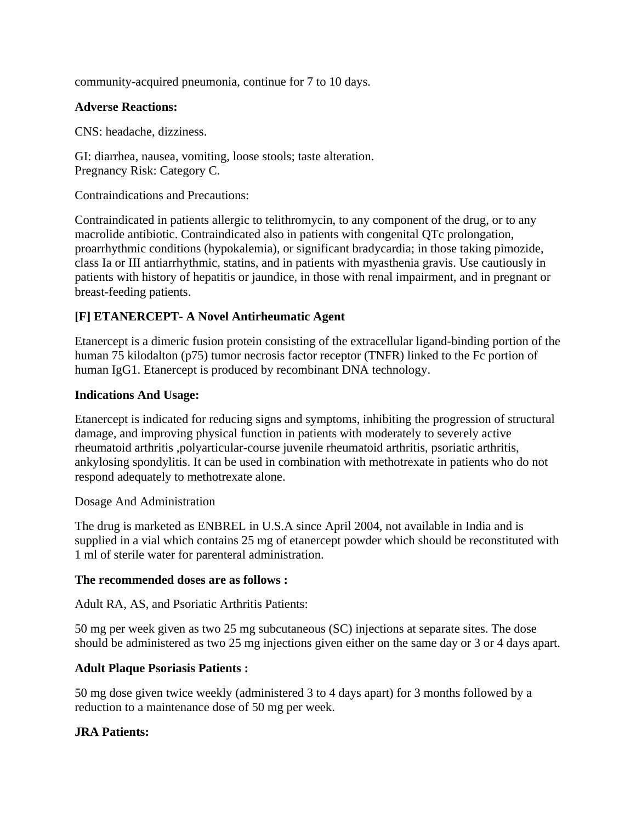community-acquired pneumonia, continue for 7 to 10 days.

#### **Adverse Reactions:**

CNS: headache, dizziness.

GI: diarrhea, nausea, vomiting, loose stools; taste alteration. Pregnancy Risk: Category C.

Contraindications and Precautions:

Contraindicated in patients allergic to telithromycin, to any component of the drug, or to any macrolide antibiotic. Contraindicated also in patients with congenital QTc prolongation, proarrhythmic conditions (hypokalemia), or significant bradycardia; in those taking pimozide, class Ia or III antiarrhythmic, statins, and in patients with myasthenia gravis. Use cautiously in patients with history of hepatitis or jaundice, in those with renal impairment, and in pregnant or breast-feeding patients.

# **[F] ETANERCEPT- A Novel Antirheumatic Agent**

Etanercept is a dimeric fusion protein consisting of the extracellular ligand-binding portion of the human 75 kilodalton (p75) tumor necrosis factor receptor (TNFR) linked to the Fc portion of human IgG1. Etanercept is produced by recombinant DNA technology.

### **Indications And Usage:**

Etanercept is indicated for reducing signs and symptoms, inhibiting the progression of structural damage, and improving physical function in patients with moderately to severely active rheumatoid arthritis ,polyarticular-course juvenile rheumatoid arthritis, psoriatic arthritis, ankylosing spondylitis. It can be used in combination with methotrexate in patients who do not respond adequately to methotrexate alone.

#### Dosage And Administration

The drug is marketed as ENBREL in U.S.A since April 2004, not available in India and is supplied in a vial which contains 25 mg of etanercept powder which should be reconstituted with 1 ml of sterile water for parenteral administration.

#### **The recommended doses are as follows :**

Adult RA, AS, and Psoriatic Arthritis Patients:

50 mg per week given as two 25 mg subcutaneous (SC) injections at separate sites. The dose should be administered as two 25 mg injections given either on the same day or 3 or 4 days apart.

### **Adult Plaque Psoriasis Patients :**

50 mg dose given twice weekly (administered 3 to 4 days apart) for 3 months followed by a reduction to a maintenance dose of 50 mg per week.

### **JRA Patients:**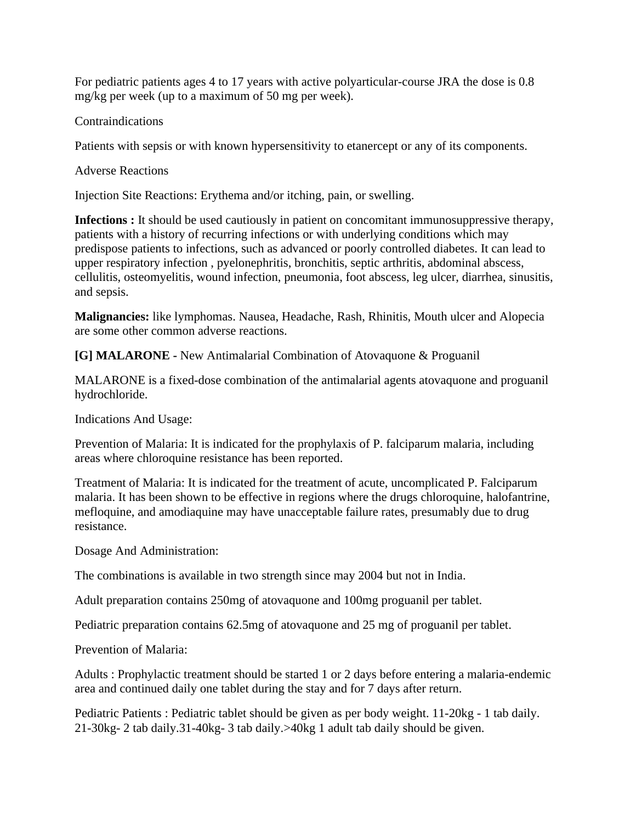For pediatric patients ages 4 to 17 years with active polyarticular-course JRA the dose is 0.8 mg/kg per week (up to a maximum of 50 mg per week).

## Contraindications

Patients with sepsis or with known hypersensitivity to etanercept or any of its components.

## Adverse Reactions

Injection Site Reactions: Erythema and/or itching, pain, or swelling.

**Infections :** It should be used cautiously in patient on concomitant immunosuppressive therapy, patients with a history of recurring infections or with underlying conditions which may predispose patients to infections, such as advanced or poorly controlled diabetes. It can lead to upper respiratory infection , pyelonephritis, bronchitis, septic arthritis, abdominal abscess, cellulitis, osteomyelitis, wound infection, pneumonia, foot abscess, leg ulcer, diarrhea, sinusitis, and sepsis.

**Malignancies:** like lymphomas. Nausea, Headache, Rash, Rhinitis, Mouth ulcer and Alopecia are some other common adverse reactions.

**[G] MALARONE -** New Antimalarial Combination of Atovaquone & Proguanil

MALARONE is a fixed-dose combination of the antimalarial agents atovaquone and proguanil hydrochloride.

Indications And Usage:

Prevention of Malaria: It is indicated for the prophylaxis of P. falciparum malaria, including areas where chloroquine resistance has been reported.

Treatment of Malaria: It is indicated for the treatment of acute, uncomplicated P. Falciparum malaria. It has been shown to be effective in regions where the drugs chloroquine, halofantrine, mefloquine, and amodiaquine may have unacceptable failure rates, presumably due to drug resistance.

Dosage And Administration:

The combinations is available in two strength since may 2004 but not in India.

Adult preparation contains 250mg of atovaquone and 100mg proguanil per tablet.

Pediatric preparation contains 62.5mg of atovaquone and 25 mg of proguanil per tablet.

Prevention of Malaria:

Adults : Prophylactic treatment should be started 1 or 2 days before entering a malaria-endemic area and continued daily one tablet during the stay and for 7 days after return.

Pediatric Patients : Pediatric tablet should be given as per body weight. 11-20kg - 1 tab daily. 21-30kg- 2 tab daily.31-40kg- 3 tab daily.>40kg 1 adult tab daily should be given.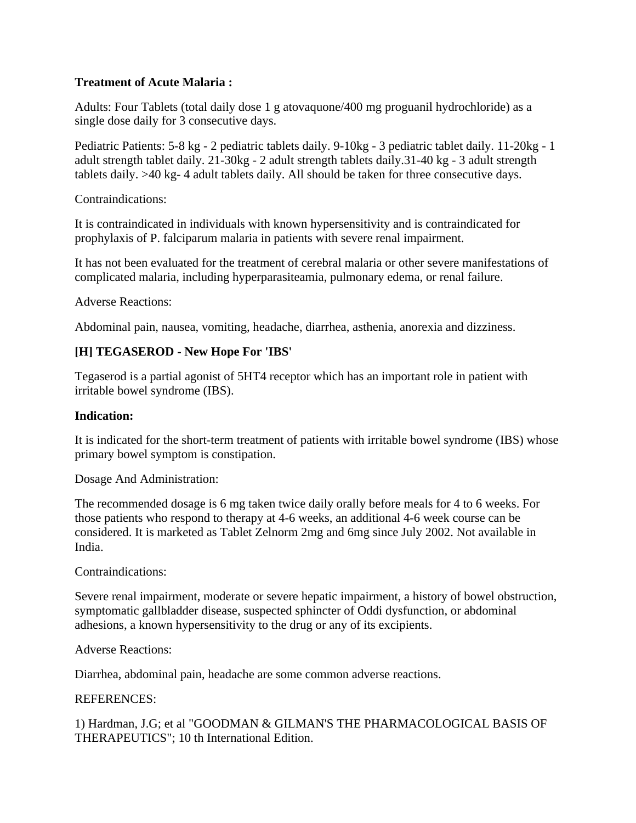### **Treatment of Acute Malaria :**

Adults: Four Tablets (total daily dose 1 g atovaquone/400 mg proguanil hydrochloride) as a single dose daily for 3 consecutive days.

Pediatric Patients: 5-8 kg - 2 pediatric tablets daily. 9-10kg - 3 pediatric tablet daily. 11-20kg - 1 adult strength tablet daily. 21-30kg - 2 adult strength tablets daily.31-40 kg - 3 adult strength tablets daily. >40 kg- 4 adult tablets daily. All should be taken for three consecutive days.

Contraindications:

It is contraindicated in individuals with known hypersensitivity and is contraindicated for prophylaxis of P. falciparum malaria in patients with severe renal impairment.

It has not been evaluated for the treatment of cerebral malaria or other severe manifestations of complicated malaria, including hyperparasiteamia, pulmonary edema, or renal failure.

Adverse Reactions:

Abdominal pain, nausea, vomiting, headache, diarrhea, asthenia, anorexia and dizziness.

# **[H] TEGASEROD - New Hope For 'IBS'**

Tegaserod is a partial agonist of 5HT4 receptor which has an important role in patient with irritable bowel syndrome (IBS).

### **Indication:**

It is indicated for the short-term treatment of patients with irritable bowel syndrome (IBS) whose primary bowel symptom is constipation.

Dosage And Administration:

The recommended dosage is 6 mg taken twice daily orally before meals for 4 to 6 weeks. For those patients who respond to therapy at 4-6 weeks, an additional 4-6 week course can be considered. It is marketed as Tablet Zelnorm 2mg and 6mg since July 2002. Not available in India.

Contraindications:

Severe renal impairment, moderate or severe hepatic impairment, a history of bowel obstruction, symptomatic gallbladder disease, suspected sphincter of Oddi dysfunction, or abdominal adhesions, a known hypersensitivity to the drug or any of its excipients.

### Adverse Reactions:

Diarrhea, abdominal pain, headache are some common adverse reactions.

#### REFERENCES:

1) Hardman, J.G; et al "GOODMAN & GILMAN'S THE PHARMACOLOGICAL BASIS OF THERAPEUTICS"; 10 th International Edition.